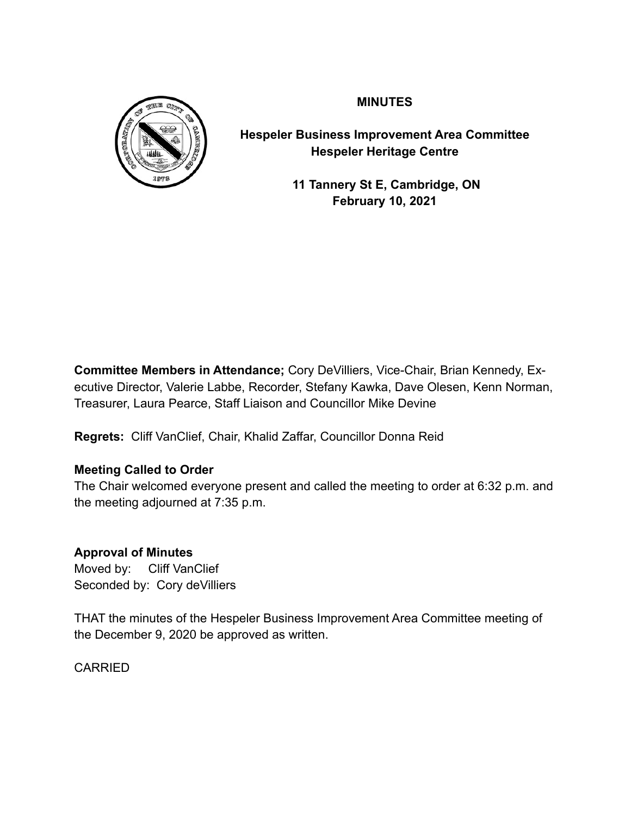

**MINUTES**

**Hespeler Business Improvement Area Committee Hespeler Heritage Centre**

> **11 Tannery St E, Cambridge, ON February 10, 2021**

**Committee Members in Attendance;** Cory DeVilliers, Vice-Chair, Brian Kennedy, Executive Director, Valerie Labbe, Recorder, Stefany Kawka, Dave Olesen, Kenn Norman, Treasurer, Laura Pearce, Staff Liaison and Councillor Mike Devine

**Regrets:** Cliff VanClief, Chair, Khalid Zaffar, Councillor Donna Reid

## **Meeting Called to Order**

The Chair welcomed everyone present and called the meeting to order at 6:32 p.m. and the meeting adjourned at 7:35 p.m.

## **Approval of Minutes**

Moved by: Cliff VanClief Seconded by: Cory deVilliers

THAT the minutes of the Hespeler Business Improvement Area Committee meeting of the December 9, 2020 be approved as written.

**CARRIED**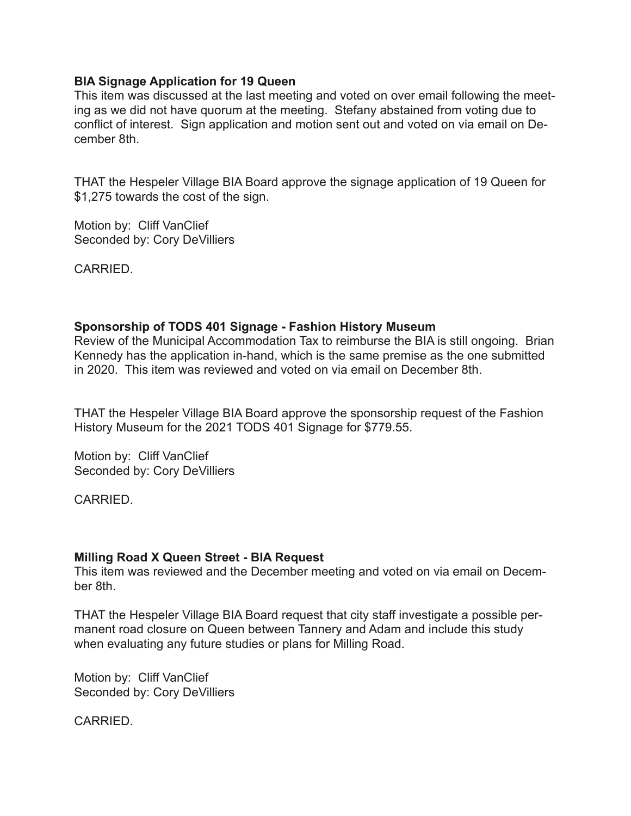#### **BIA Signage Application for 19 Queen**

This item was discussed at the last meeting and voted on over email following the meeting as we did not have quorum at the meeting. Stefany abstained from voting due to conflict of interest. Sign application and motion sent out and voted on via email on December 8th.

THAT the Hespeler Village BIA Board approve the signage application of 19 Queen for \$1,275 towards the cost of the sign.

Motion by: Cliff VanClief Seconded by: Cory DeVilliers

**CARRIED.** 

## **Sponsorship of TODS 401 Signage - Fashion History Museum**

Review of the Municipal Accommodation Tax to reimburse the BIA is still ongoing. Brian Kennedy has the application in-hand, which is the same premise as the one submitted in 2020. This item was reviewed and voted on via email on December 8th.

THAT the Hespeler Village BIA Board approve the sponsorship request of the Fashion History Museum for the 2021 TODS 401 Signage for \$779.55.

Motion by: Cliff VanClief Seconded by: Cory DeVilliers

CARRIED.

### **Milling Road X Queen Street - BIA Request**

This item was reviewed and the December meeting and voted on via email on December 8th.

THAT the Hespeler Village BIA Board request that city staff investigate a possible permanent road closure on Queen between Tannery and Adam and include this study when evaluating any future studies or plans for Milling Road.

Motion by: Cliff VanClief Seconded by: Cory DeVilliers

CARRIED.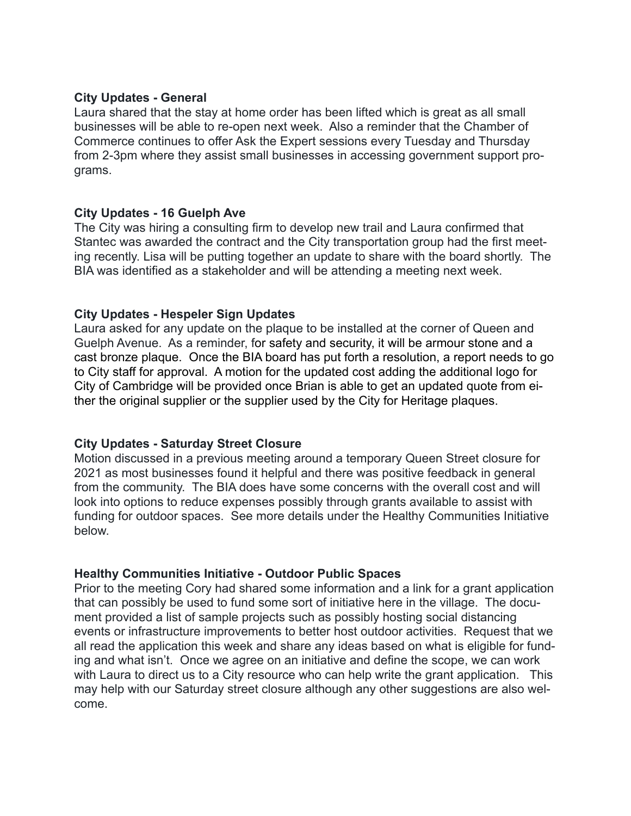#### **City Updates - General**

Laura shared that the stay at home order has been lifted which is great as all small businesses will be able to re-open next week. Also a reminder that the Chamber of Commerce continues to offer Ask the Expert sessions every Tuesday and Thursday from 2-3pm where they assist small businesses in accessing government support programs.

#### **City Updates - 16 Guelph Ave**

The City was hiring a consulting firm to develop new trail and Laura confirmed that Stantec was awarded the contract and the City transportation group had the first meeting recently. Lisa will be putting together an update to share with the board shortly. The BIA was identified as a stakeholder and will be attending a meeting next week.

### **City Updates - Hespeler Sign Updates**

Laura asked for any update on the plaque to be installed at the corner of Queen and Guelph Avenue. As a reminder, for safety and security, it will be armour stone and a cast bronze plaque. Once the BIA board has put forth a resolution, a report needs to go to City staff for approval. A motion for the updated cost adding the additional logo for City of Cambridge will be provided once Brian is able to get an updated quote from either the original supplier or the supplier used by the City for Heritage plaques.

### **City Updates - Saturday Street Closure**

Motion discussed in a previous meeting around a temporary Queen Street closure for 2021 as most businesses found it helpful and there was positive feedback in general from the community. The BIA does have some concerns with the overall cost and will look into options to reduce expenses possibly through grants available to assist with funding for outdoor spaces. See more details under the Healthy Communities Initiative below.

### **Healthy Communities Initiative - Outdoor Public Spaces**

Prior to the meeting Cory had shared some information and a link for a grant application that can possibly be used to fund some sort of initiative here in the village. The document provided a list of sample projects such as possibly hosting social distancing events or infrastructure improvements to better host outdoor activities. Request that we all read the application this week and share any ideas based on what is eligible for funding and what isn't. Once we agree on an initiative and define the scope, we can work with Laura to direct us to a City resource who can help write the grant application. This may help with our Saturday street closure although any other suggestions are also welcome.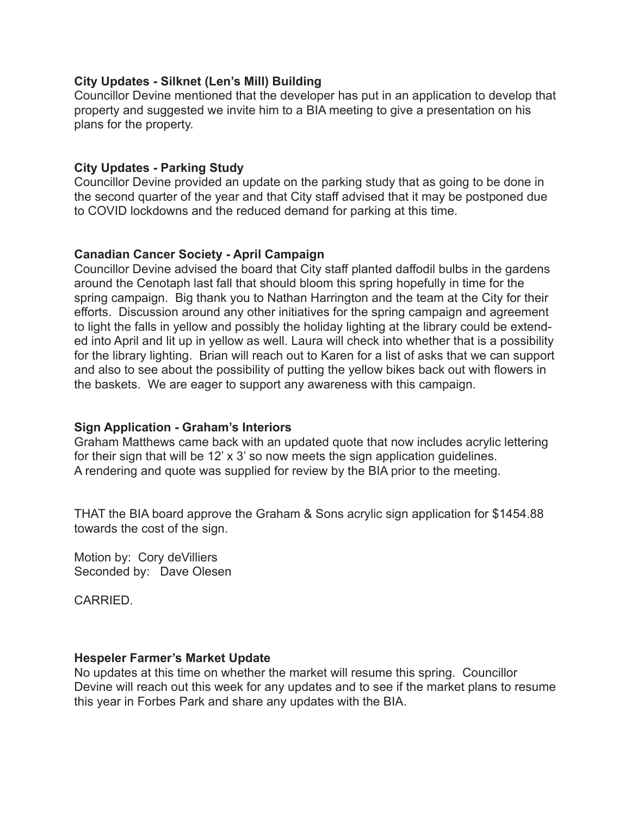### **City Updates - Silknet (Len's Mill) Building**

Councillor Devine mentioned that the developer has put in an application to develop that property and suggested we invite him to a BIA meeting to give a presentation on his plans for the property.

#### **City Updates - Parking Study**

Councillor Devine provided an update on the parking study that as going to be done in the second quarter of the year and that City staff advised that it may be postponed due to COVID lockdowns and the reduced demand for parking at this time.

#### **Canadian Cancer Society - April Campaign**

Councillor Devine advised the board that City staff planted daffodil bulbs in the gardens around the Cenotaph last fall that should bloom this spring hopefully in time for the spring campaign. Big thank you to Nathan Harrington and the team at the City for their efforts. Discussion around any other initiatives for the spring campaign and agreement to light the falls in yellow and possibly the holiday lighting at the library could be extended into April and lit up in yellow as well. Laura will check into whether that is a possibility for the library lighting. Brian will reach out to Karen for a list of asks that we can support and also to see about the possibility of putting the yellow bikes back out with flowers in the baskets. We are eager to support any awareness with this campaign.

### **Sign Application - Graham's Interiors**

Graham Matthews came back with an updated quote that now includes acrylic lettering for their sign that will be 12' x 3' so now meets the sign application guidelines. A rendering and quote was supplied for review by the BIA prior to the meeting.

THAT the BIA board approve the Graham & Sons acrylic sign application for \$1454.88 towards the cost of the sign.

Motion by: Cory deVilliers Seconded by: Dave Olesen

CARRIED.

#### **Hespeler Farmer's Market Update**

No updates at this time on whether the market will resume this spring. Councillor Devine will reach out this week for any updates and to see if the market plans to resume this year in Forbes Park and share any updates with the BIA.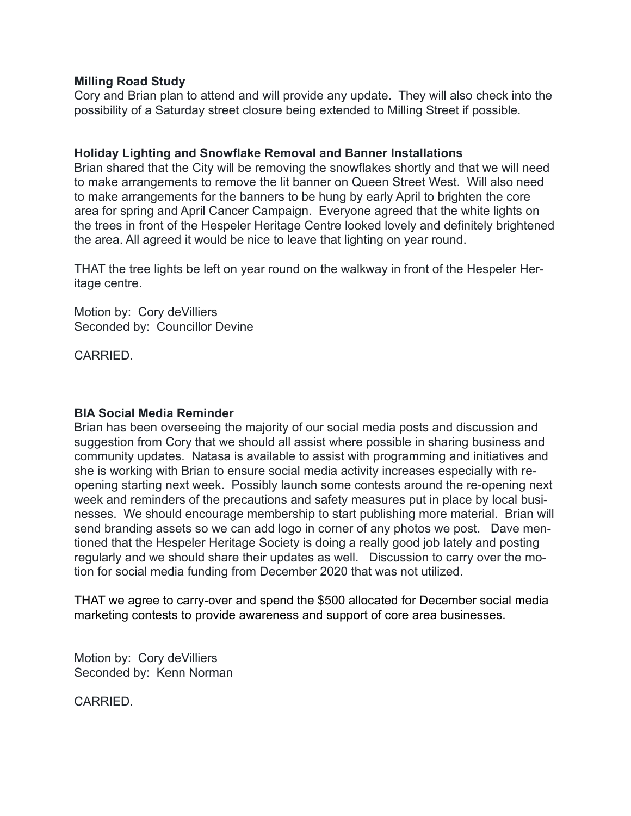#### **Milling Road Study**

Cory and Brian plan to attend and will provide any update. They will also check into the possibility of a Saturday street closure being extended to Milling Street if possible.

#### **Holiday Lighting and Snowflake Removal and Banner Installations**

Brian shared that the City will be removing the snowflakes shortly and that we will need to make arrangements to remove the lit banner on Queen Street West. Will also need to make arrangements for the banners to be hung by early April to brighten the core area for spring and April Cancer Campaign. Everyone agreed that the white lights on the trees in front of the Hespeler Heritage Centre looked lovely and definitely brightened the area. All agreed it would be nice to leave that lighting on year round.

THAT the tree lights be left on year round on the walkway in front of the Hespeler Heritage centre.

Motion by: Cory deVilliers Seconded by: Councillor Devine

**CARRIED.** 

#### **BIA Social Media Reminder**

Brian has been overseeing the majority of our social media posts and discussion and suggestion from Cory that we should all assist where possible in sharing business and community updates. Natasa is available to assist with programming and initiatives and she is working with Brian to ensure social media activity increases especially with reopening starting next week. Possibly launch some contests around the re-opening next week and reminders of the precautions and safety measures put in place by local businesses. We should encourage membership to start publishing more material. Brian will send branding assets so we can add logo in corner of any photos we post. Dave mentioned that the Hespeler Heritage Society is doing a really good job lately and posting regularly and we should share their updates as well. Discussion to carry over the motion for social media funding from December 2020 that was not utilized.

THAT we agree to carry-over and spend the \$500 allocated for December social media marketing contests to provide awareness and support of core area businesses.

Motion by: Cory deVilliers Seconded by: Kenn Norman

**CARRIED.**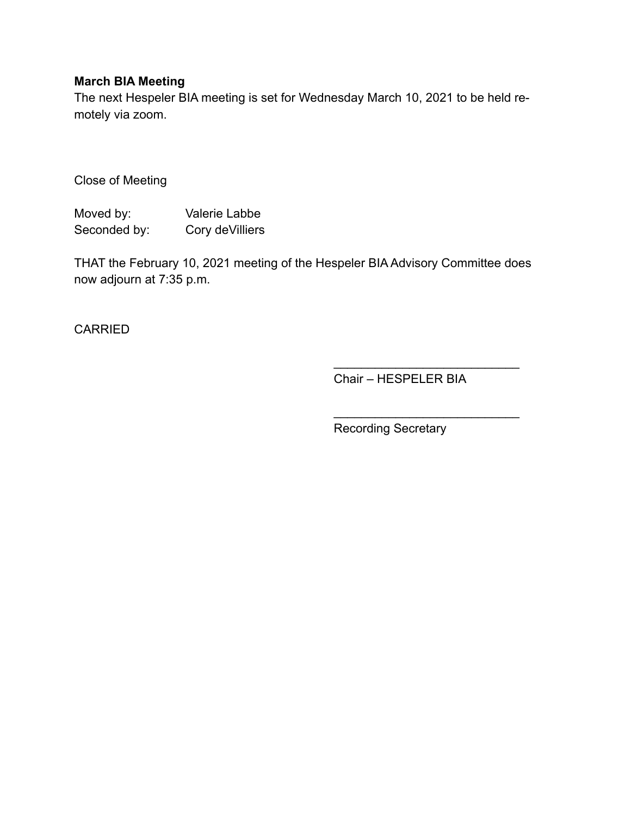## **March BIA Meeting**

The next Hespeler BIA meeting is set for Wednesday March 10, 2021 to be held remotely via zoom.

Close of Meeting

Moved by: Valerie Labbe Seconded by: Cory deVilliers

THAT the February 10, 2021 meeting of the Hespeler BIA Advisory Committee does now adjourn at 7:35 p.m.

CARRIED

Chair – HESPELER BIA

 $\mathcal{L}_\text{max}$  , where  $\mathcal{L}_\text{max}$  is the set of the set of the set of the set of the set of the set of the set of the set of the set of the set of the set of the set of the set of the set of the set of the set of the se

 $\mathcal{L}=\{1,2,3,4,5\}$ 

Recording Secretary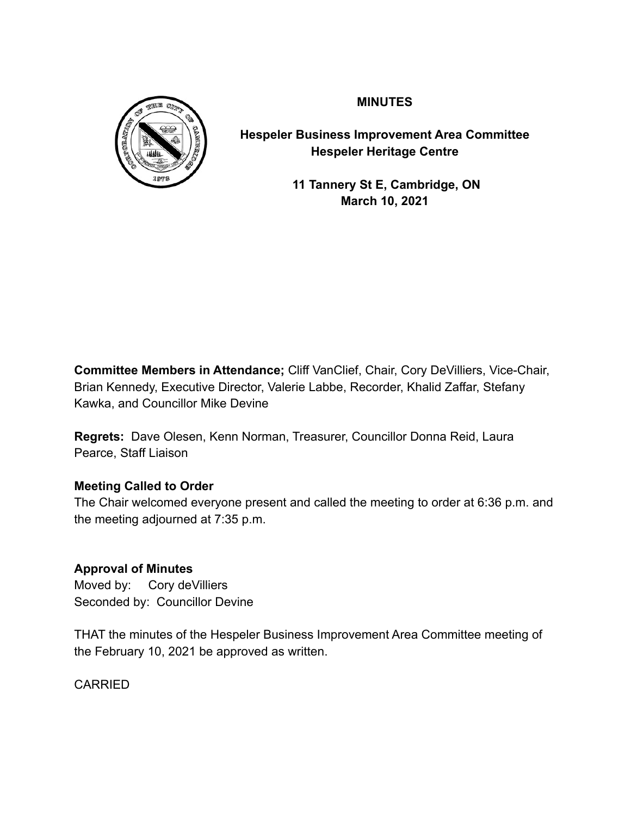

**MINUTES**

**Hespeler Business Improvement Area Committee Hespeler Heritage Centre**

> **11 Tannery St E, Cambridge, ON March 10, 2021**

**Committee Members in Attendance;** Cliff VanClief, Chair, Cory DeVilliers, Vice-Chair, Brian Kennedy, Executive Director, Valerie Labbe, Recorder, Khalid Zaffar, Stefany Kawka, and Councillor Mike Devine

**Regrets:** Dave Olesen, Kenn Norman, Treasurer, Councillor Donna Reid, Laura Pearce, Staff Liaison

# **Meeting Called to Order**

The Chair welcomed everyone present and called the meeting to order at 6:36 p.m. and the meeting adjourned at 7:35 p.m.

## **Approval of Minutes**

Moved by: Cory deVilliers Seconded by: Councillor Devine

THAT the minutes of the Hespeler Business Improvement Area Committee meeting of the February 10, 2021 be approved as written.

CARRIED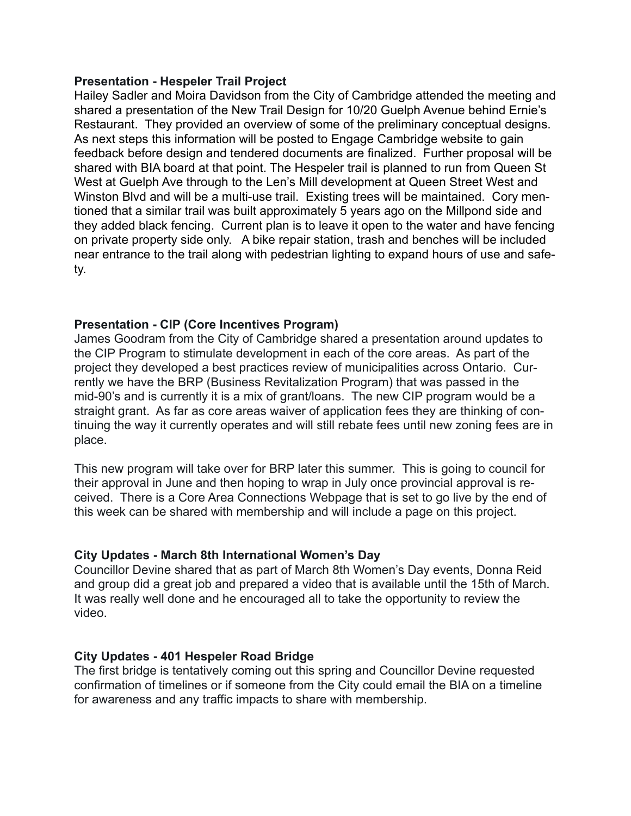#### **Presentation - Hespeler Trail Project**

Hailey Sadler and Moira Davidson from the City of Cambridge attended the meeting and shared a presentation of the New Trail Design for 10/20 Guelph Avenue behind Ernie's Restaurant. They provided an overview of some of the preliminary conceptual designs. As next steps this information will be posted to Engage Cambridge website to gain feedback before design and tendered documents are finalized. Further proposal will be shared with BIA board at that point. The Hespeler trail is planned to run from Queen St West at Guelph Ave through to the Len's Mill development at Queen Street West and Winston Blvd and will be a multi-use trail. Existing trees will be maintained. Cory mentioned that a similar trail was built approximately 5 years ago on the Millpond side and they added black fencing. Current plan is to leave it open to the water and have fencing on private property side only. A bike repair station, trash and benches will be included near entrance to the trail along with pedestrian lighting to expand hours of use and safety.

### **Presentation - CIP (Core Incentives Program)**

James Goodram from the City of Cambridge shared a presentation around updates to the CIP Program to stimulate development in each of the core areas. As part of the project they developed a best practices review of municipalities across Ontario. Currently we have the BRP (Business Revitalization Program) that was passed in the mid-90's and is currently it is a mix of grant/loans. The new CIP program would be a straight grant. As far as core areas waiver of application fees they are thinking of continuing the way it currently operates and will still rebate fees until new zoning fees are in place.

This new program will take over for BRP later this summer. This is going to council for their approval in June and then hoping to wrap in July once provincial approval is received. There is a Core Area Connections Webpage that is set to go live by the end of this week can be shared with membership and will include a page on this project.

### **City Updates - March 8th International Women's Day**

Councillor Devine shared that as part of March 8th Women's Day events, Donna Reid and group did a great job and prepared a video that is available until the 15th of March. It was really well done and he encouraged all to take the opportunity to review the video.

## **City Updates - 401 Hespeler Road Bridge**

The first bridge is tentatively coming out this spring and Councillor Devine requested confirmation of timelines or if someone from the City could email the BIA on a timeline for awareness and any traffic impacts to share with membership.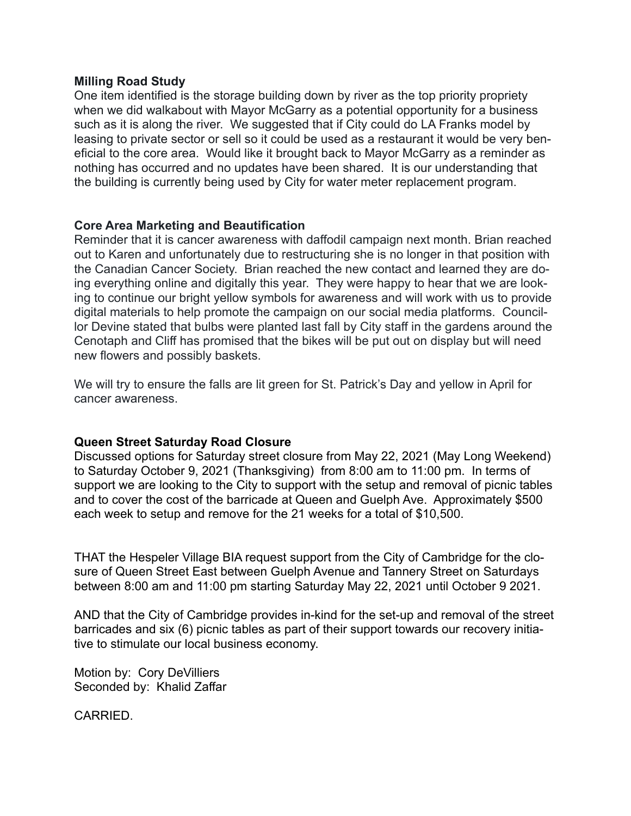#### **Milling Road Study**

One item identified is the storage building down by river as the top priority propriety when we did walkabout with Mayor McGarry as a potential opportunity for a business such as it is along the river. We suggested that if City could do LA Franks model by leasing to private sector or sell so it could be used as a restaurant it would be very beneficial to the core area. Would like it brought back to Mayor McGarry as a reminder as nothing has occurred and no updates have been shared. It is our understanding that the building is currently being used by City for water meter replacement program.

### **Core Area Marketing and Beautification**

Reminder that it is cancer awareness with daffodil campaign next month. Brian reached out to Karen and unfortunately due to restructuring she is no longer in that position with the Canadian Cancer Society. Brian reached the new contact and learned they are doing everything online and digitally this year. They were happy to hear that we are looking to continue our bright yellow symbols for awareness and will work with us to provide digital materials to help promote the campaign on our social media platforms. Councillor Devine stated that bulbs were planted last fall by City staff in the gardens around the Cenotaph and Cliff has promised that the bikes will be put out on display but will need new flowers and possibly baskets.

We will try to ensure the falls are lit green for St. Patrick's Day and yellow in April for cancer awareness.

## **Queen Street Saturday Road Closure**

Discussed options for Saturday street closure from May 22, 2021 (May Long Weekend) to Saturday October 9, 2021 (Thanksgiving) from 8:00 am to 11:00 pm. In terms of support we are looking to the City to support with the setup and removal of picnic tables and to cover the cost of the barricade at Queen and Guelph Ave. Approximately \$500 each week to setup and remove for the 21 weeks for a total of \$10,500.

THAT the Hespeler Village BIA request support from the City of Cambridge for the closure of Queen Street East between Guelph Avenue and Tannery Street on Saturdays between 8:00 am and 11:00 pm starting Saturday May 22, 2021 until October 9 2021.

AND that the City of Cambridge provides in-kind for the set-up and removal of the street barricades and six (6) picnic tables as part of their support towards our recovery initiative to stimulate our local business economy.

Motion by: Cory DeVilliers Seconded by: Khalid Zaffar

CARRIED.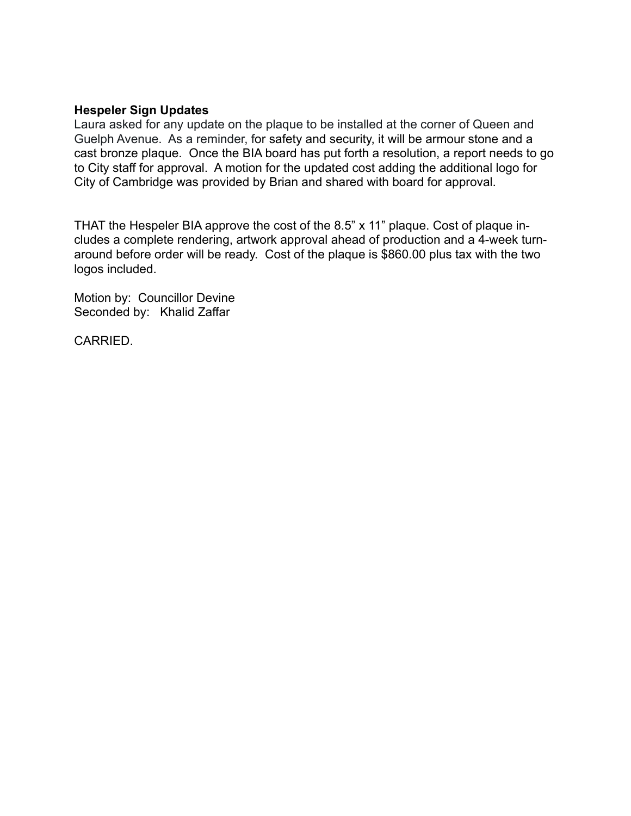#### **Hespeler Sign Updates**

Laura asked for any update on the plaque to be installed at the corner of Queen and Guelph Avenue. As a reminder, for safety and security, it will be armour stone and a cast bronze plaque. Once the BIA board has put forth a resolution, a report needs to go to City staff for approval. A motion for the updated cost adding the additional logo for City of Cambridge was provided by Brian and shared with board for approval.

THAT the Hespeler BIA approve the cost of the 8.5" x 11" plaque. Cost of plaque includes a complete rendering, artwork approval ahead of production and a 4-week turnaround before order will be ready. Cost of the plaque is \$860.00 plus tax with the two logos included.

Motion by: Councillor Devine Seconded by: Khalid Zaffar

CARRIED.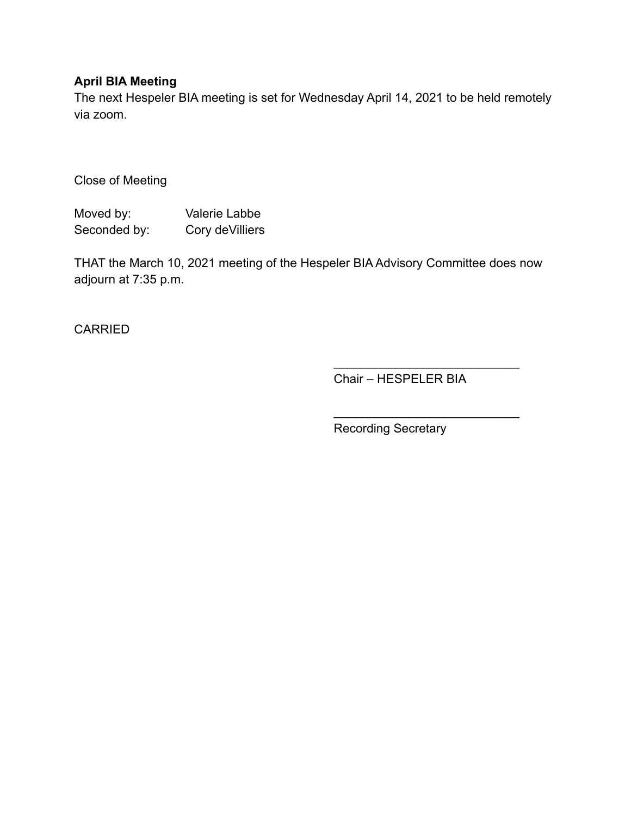## **April BIA Meeting**

The next Hespeler BIA meeting is set for Wednesday April 14, 2021 to be held remotely via zoom.

Close of Meeting

Moved by: Valerie Labbe Seconded by: Cory deVilliers

THAT the March 10, 2021 meeting of the Hespeler BIA Advisory Committee does now adjourn at 7:35 p.m.

CARRIED

Chair – HESPELER BIA

 $\mathcal{L}_\text{max}$  , where  $\mathcal{L}_\text{max}$  is the set of the set of the set of the set of the set of the set of the set of the set of the set of the set of the set of the set of the set of the set of the set of the set of the se

 $\mathcal{L}=\{1,2,3,4,5\}$ 

Recording Secretary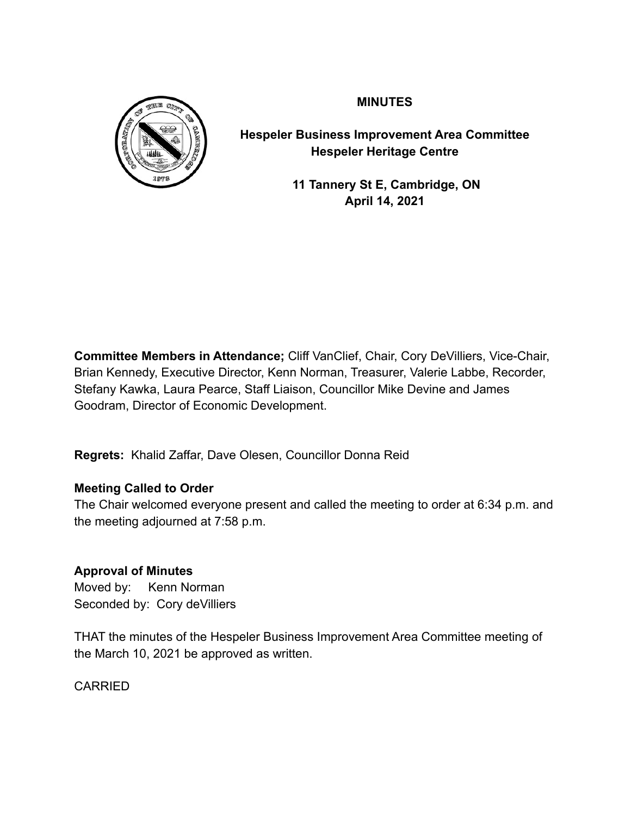

**MINUTES**

**Hespeler Business Improvement Area Committee Hespeler Heritage Centre**

> **11 Tannery St E, Cambridge, ON April 14, 2021**

**Committee Members in Attendance;** Cliff VanClief, Chair, Cory DeVilliers, Vice-Chair, Brian Kennedy, Executive Director, Kenn Norman, Treasurer, Valerie Labbe, Recorder, Stefany Kawka, Laura Pearce, Staff Liaison, Councillor Mike Devine and James Goodram, Director of Economic Development.

**Regrets:** Khalid Zaffar, Dave Olesen, Councillor Donna Reid

# **Meeting Called to Order**

The Chair welcomed everyone present and called the meeting to order at 6:34 p.m. and the meeting adjourned at 7:58 p.m.

## **Approval of Minutes**

Moved by: Kenn Norman Seconded by: Cory deVilliers

THAT the minutes of the Hespeler Business Improvement Area Committee meeting of the March 10, 2021 be approved as written.

CARRIED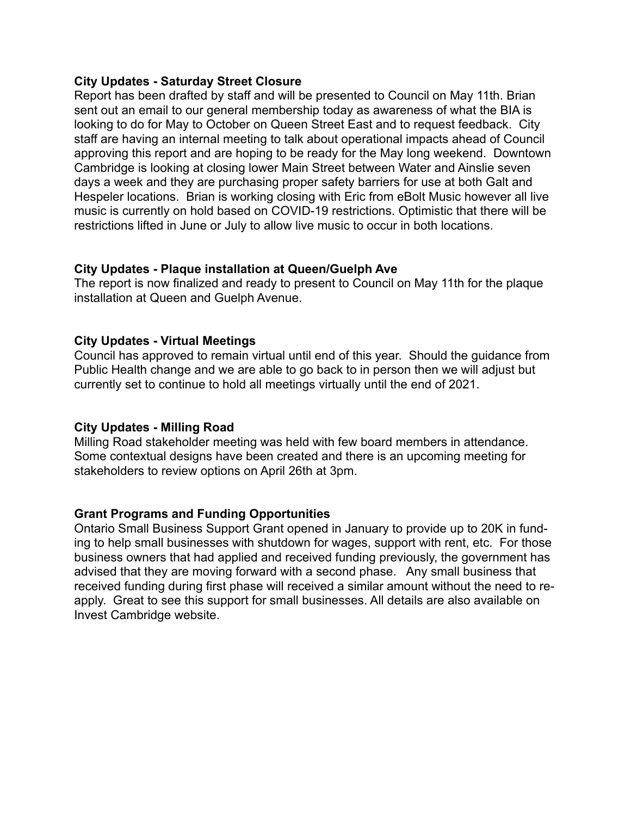#### **City Updates - Saturday Street Closure**

Report has been drafted by staff and will be presented to Council on May 11th. Brian sent out an email to our general membership today as awareness of what the BIA is looking to do for May to October on Queen Street East and to request feedback. City staff are having an internal meeting to talk about operational impacts ahead of Council approving this report and are hoping to be ready for the May long weekend. Downtown Cambridge is looking at closing lower Main Street between Water and Ainslie seven days a week and they are purchasing proper safety barriers for use at both Galt and Hespeler locations. Brian is working closing with Eric from eBolt Music however all live music is currently on hold based on COVID-19 restrictions. Optimistic that there will be restrictions lifted in June or July to allow live music to occur in both locations.

### **City Updates - Plaque installation at Queen/Guelph Ave**

The report is now finalized and ready to present to Council on May 11th for the plaque installation at Queen and Guelph Avenue.

#### **City Updates - Virtual Meetings**

Council has approved to remain virtual until end of this year. Should the guidance from Public Health change and we are able to go back to in person then we will adjust but currently set to continue to hold all meetings virtually until the end of 2021.

### **City Updates - Milling Road**

Milling Road stakeholder meeting was held with few board members in attendance. Some contextual designs have been created and there is an upcoming meeting for stakeholders to review options on April 26th at 3pm.

### **Grant Programs and Funding Opportunities**

Ontario Small Business Support Grant opened in January to provide up to 20K in funding to help small businesses with shutdown for wages, support with rent, etc. For those business owners that had applied and received funding previously, the government has advised that they are moving forward with a second phase. Any small business that received funding during first phase will received a similar amount without the need to reapply. Great to see this support for small businesses. All details are also available on Invest Cambridge website.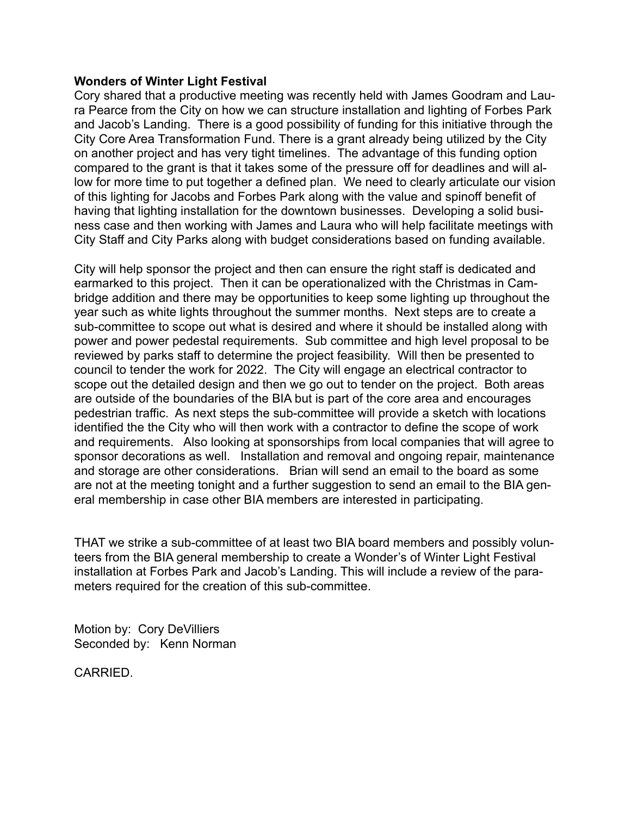#### **Wonders of Winter Light Festival**

Cory shared that a productive meeting was recently held with James Goodram and Laura Pearce from the City on how we can structure installation and lighting of Forbes Park and Jacob's Landing. There is a good possibility of funding for this initiative through the City Core Area Transformation Fund. There is a grant already being utilized by the City on another project and has very tight timelines. The advantage of this funding option compared to the grant is that it takes some of the pressure off for deadlines and will allow for more time to put together a defined plan. We need to clearly articulate our vision of this lighting for Jacobs and Forbes Park along with the value and spinoff benefit of having that lighting installation for the downtown businesses. Developing a solid business case and then working with James and Laura who will help facilitate meetings with City Staff and City Parks along with budget considerations based on funding available.

City will help sponsor the project and then can ensure the right staff is dedicated and earmarked to this project. Then it can be operationalized with the Christmas in Cambridge addition and there may be opportunities to keep some lighting up throughout the year such as white lights throughout the summer months. Next steps are to create a sub-committee to scope out what is desired and where it should be installed along with power and power pedestal requirements. Sub committee and high level proposal to be reviewed by parks staff to determine the project feasibility. Will then be presented to council to tender the work for 2022. The City will engage an electrical contractor to scope out the detailed design and then we go out to tender on the project. Both areas are outside of the boundaries of the BIA but is part of the core area and encourages pedestrian traffic. As next steps the sub-committee will provide a sketch with locations identified the the City who will then work with a contractor to define the scope of work and requirements. Also looking at sponsorships from local companies that will agree to sponsor decorations as well. Installation and removal and ongoing repair, maintenance and storage are other considerations. Brian will send an email to the board as some are not at the meeting tonight and a further suggestion to send an email to the BIA general membership in case other BIA members are interested in participating.

THAT we strike a sub-committee of at least two BIA board members and possibly volunteers from the BIA general membership to create a Wonder's of Winter Light Festival installation at Forbes Park and Jacob's Landing. This will include a review of the parameters required for the creation of this sub-committee.

Motion by: Cory DeVilliers Seconded by: Kenn Norman

CARRIED.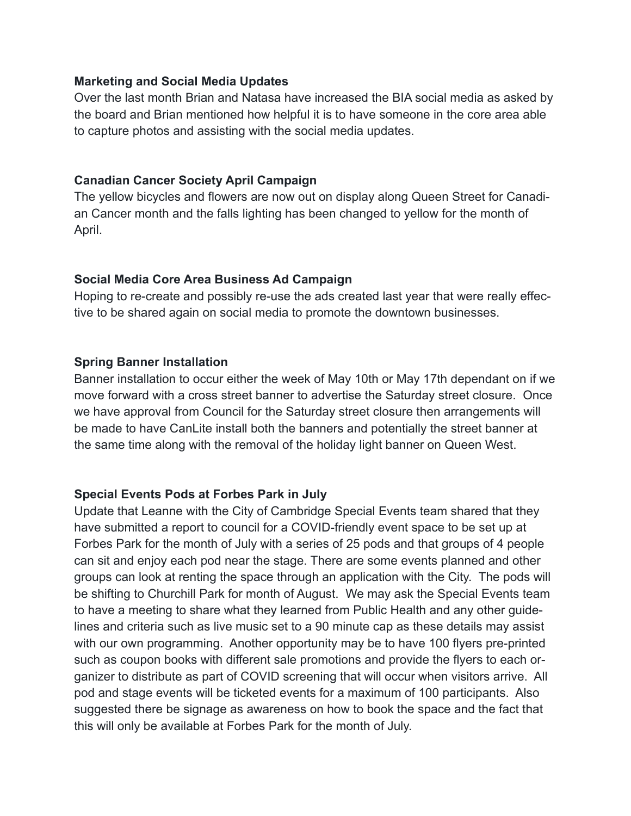## **Marketing and Social Media Updates**

Over the last month Brian and Natasa have increased the BIA social media as asked by the board and Brian mentioned how helpful it is to have someone in the core area able to capture photos and assisting with the social media updates.

## **Canadian Cancer Society April Campaign**

The yellow bicycles and flowers are now out on display along Queen Street for Canadian Cancer month and the falls lighting has been changed to yellow for the month of April.

## **Social Media Core Area Business Ad Campaign**

Hoping to re-create and possibly re-use the ads created last year that were really effective to be shared again on social media to promote the downtown businesses.

## **Spring Banner Installation**

Banner installation to occur either the week of May 10th or May 17th dependant on if we move forward with a cross street banner to advertise the Saturday street closure. Once we have approval from Council for the Saturday street closure then arrangements will be made to have CanLite install both the banners and potentially the street banner at the same time along with the removal of the holiday light banner on Queen West.

## **Special Events Pods at Forbes Park in July**

Update that Leanne with the City of Cambridge Special Events team shared that they have submitted a report to council for a COVID-friendly event space to be set up at Forbes Park for the month of July with a series of 25 pods and that groups of 4 people can sit and enjoy each pod near the stage. There are some events planned and other groups can look at renting the space through an application with the City. The pods will be shifting to Churchill Park for month of August. We may ask the Special Events team to have a meeting to share what they learned from Public Health and any other guidelines and criteria such as live music set to a 90 minute cap as these details may assist with our own programming. Another opportunity may be to have 100 flyers pre-printed such as coupon books with different sale promotions and provide the flyers to each organizer to distribute as part of COVID screening that will occur when visitors arrive. All pod and stage events will be ticketed events for a maximum of 100 participants. Also suggested there be signage as awareness on how to book the space and the fact that this will only be available at Forbes Park for the month of July.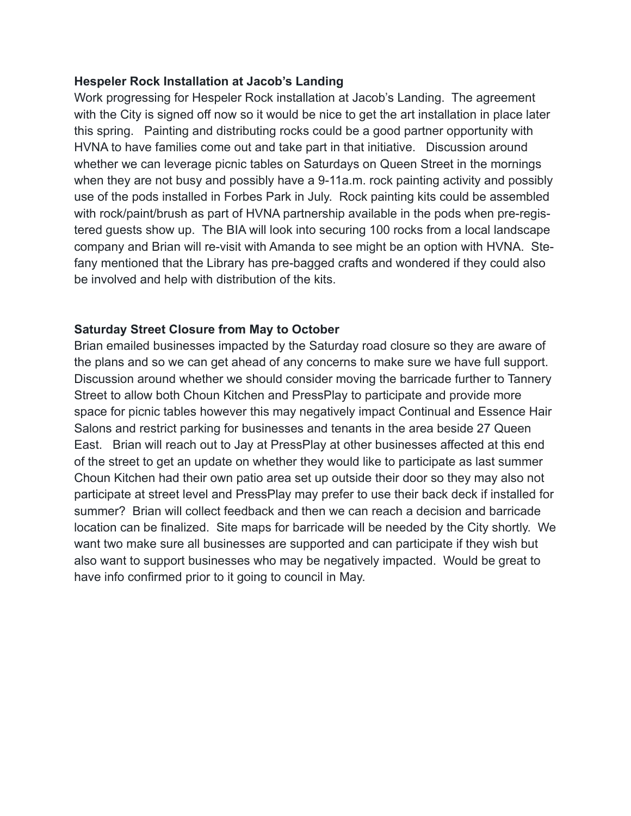### **Hespeler Rock Installation at Jacob's Landing**

Work progressing for Hespeler Rock installation at Jacob's Landing. The agreement with the City is signed off now so it would be nice to get the art installation in place later this spring. Painting and distributing rocks could be a good partner opportunity with HVNA to have families come out and take part in that initiative. Discussion around whether we can leverage picnic tables on Saturdays on Queen Street in the mornings when they are not busy and possibly have a 9-11a.m. rock painting activity and possibly use of the pods installed in Forbes Park in July. Rock painting kits could be assembled with rock/paint/brush as part of HVNA partnership available in the pods when pre-registered guests show up. The BIA will look into securing 100 rocks from a local landscape company and Brian will re-visit with Amanda to see might be an option with HVNA. Stefany mentioned that the Library has pre-bagged crafts and wondered if they could also be involved and help with distribution of the kits.

## **Saturday Street Closure from May to October**

Brian emailed businesses impacted by the Saturday road closure so they are aware of the plans and so we can get ahead of any concerns to make sure we have full support. Discussion around whether we should consider moving the barricade further to Tannery Street to allow both Choun Kitchen and PressPlay to participate and provide more space for picnic tables however this may negatively impact Continual and Essence Hair Salons and restrict parking for businesses and tenants in the area beside 27 Queen East. Brian will reach out to Jay at PressPlay at other businesses affected at this end of the street to get an update on whether they would like to participate as last summer Choun Kitchen had their own patio area set up outside their door so they may also not participate at street level and PressPlay may prefer to use their back deck if installed for summer? Brian will collect feedback and then we can reach a decision and barricade location can be finalized. Site maps for barricade will be needed by the City shortly. We want two make sure all businesses are supported and can participate if they wish but also want to support businesses who may be negatively impacted. Would be great to have info confirmed prior to it going to council in May.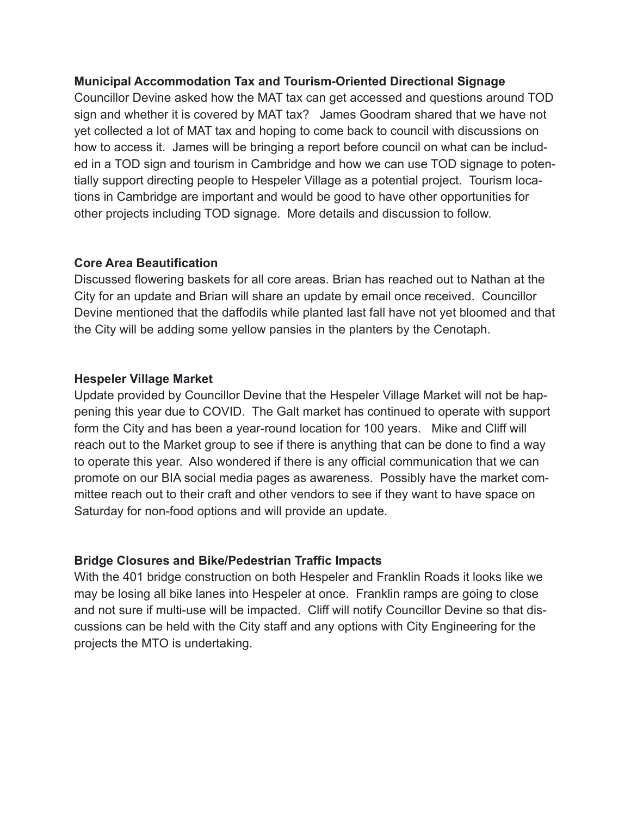## **Municipal Accommodation Tax and Tourism-Oriented Directional Signage**

Councillor Devine asked how the MAT tax can get accessed and questions around TOD sign and whether it is covered by MAT tax? James Goodram shared that we have not yet collected a lot of MAT tax and hoping to come back to council with discussions on how to access it. James will be bringing a report before council on what can be included in a TOD sign and tourism in Cambridge and how we can use TOD signage to potentially support directing people to Hespeler Village as a potential project. Tourism locations in Cambridge are important and would be good to have other opportunities for other projects including TOD signage. More details and discussion to follow.

## **Core Area Beautification**

Discussed flowering baskets for all core areas. Brian has reached out to Nathan at the City for an update and Brian will share an update by email once received. Councillor Devine mentioned that the daffodils while planted last fall have not yet bloomed and that the City will be adding some yellow pansies in the planters by the Cenotaph.

## **Hespeler Village Market**

Update provided by Councillor Devine that the Hespeler Village Market will not be happening this year due to COVID. The Galt market has continued to operate with support form the City and has been a year-round location for 100 years. Mike and Cliff will reach out to the Market group to see if there is anything that can be done to find a way to operate this year. Also wondered if there is any official communication that we can promote on our BIA social media pages as awareness. Possibly have the market committee reach out to their craft and other vendors to see if they want to have space on Saturday for non-food options and will provide an update.

## **Bridge Closures and Bike/Pedestrian Traffic Impacts**

With the 401 bridge construction on both Hespeler and Franklin Roads it looks like we may be losing all bike lanes into Hespeler at once. Franklin ramps are going to close and not sure if multi-use will be impacted. Cliff will notify Councillor Devine so that discussions can be held with the City staff and any options with City Engineering for the projects the MTO is undertaking.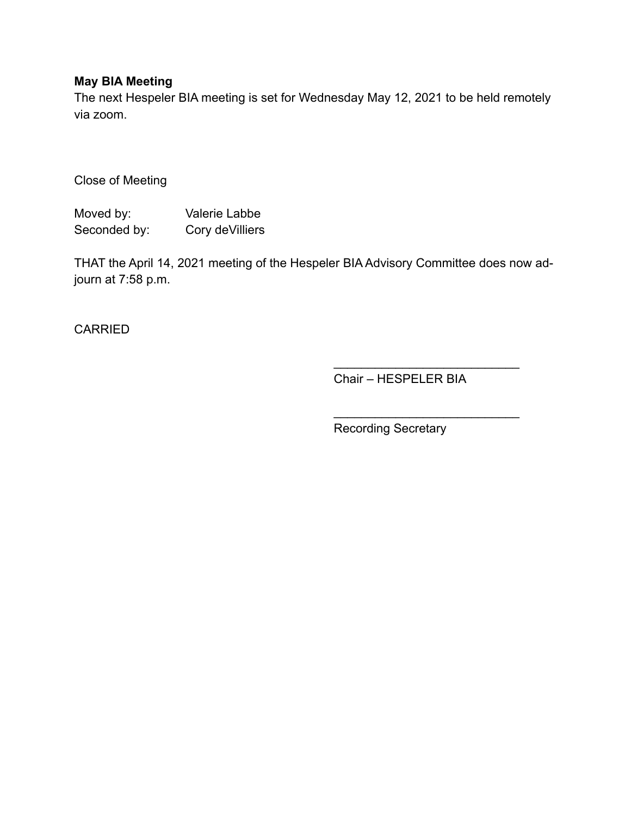## **May BIA Meeting**

The next Hespeler BIA meeting is set for Wednesday May 12, 2021 to be held remotely via zoom.

Close of Meeting

Moved by: Valerie Labbe Seconded by: Cory deVilliers

THAT the April 14, 2021 meeting of the Hespeler BIA Advisory Committee does now adjourn at 7:58 p.m.

CARRIED

Chair – HESPELER BIA

 $\mathcal{L}_\text{max}$  , where  $\mathcal{L}_\text{max}$  is the set of the set of the set of the set of the set of the set of the set of the set of the set of the set of the set of the set of the set of the set of the set of the set of the se

 $\mathcal{L}=\{1,2,3,4,5\}$ 

Recording Secretary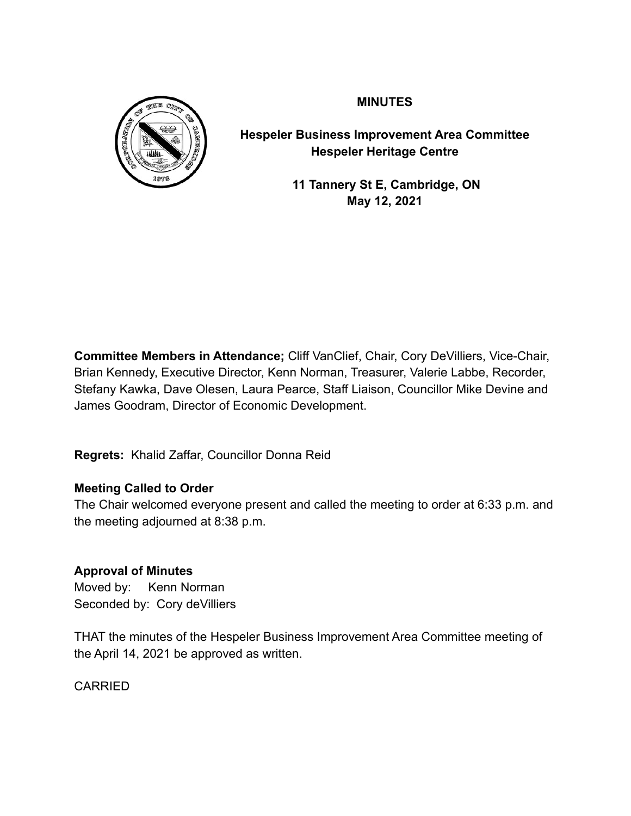

**MINUTES**

**Hespeler Business Improvement Area Committee Hespeler Heritage Centre**

> **11 Tannery St E, Cambridge, ON May 12, 2021**

**Committee Members in Attendance;** Cliff VanClief, Chair, Cory DeVilliers, Vice-Chair, Brian Kennedy, Executive Director, Kenn Norman, Treasurer, Valerie Labbe, Recorder, Stefany Kawka, Dave Olesen, Laura Pearce, Staff Liaison, Councillor Mike Devine and James Goodram, Director of Economic Development.

**Regrets:** Khalid Zaffar, Councillor Donna Reid

# **Meeting Called to Order**

The Chair welcomed everyone present and called the meeting to order at 6:33 p.m. and the meeting adjourned at 8:38 p.m.

## **Approval of Minutes**

Moved by: Kenn Norman Seconded by: Cory deVilliers

THAT the minutes of the Hespeler Business Improvement Area Committee meeting of the April 14, 2021 be approved as written.

CARRIED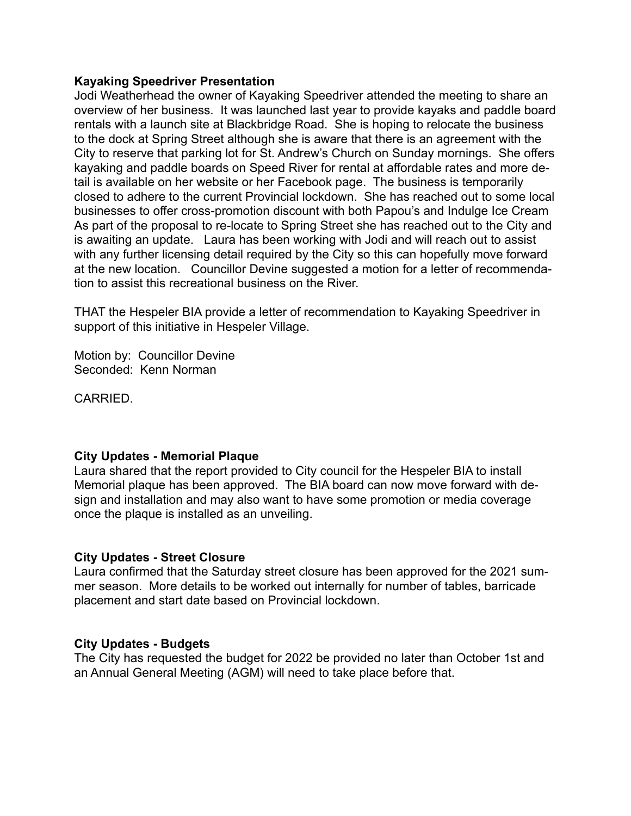#### **Kayaking Speedriver Presentation**

Jodi Weatherhead the owner of Kayaking Speedriver attended the meeting to share an overview of her business. It was launched last year to provide kayaks and paddle board rentals with a launch site at Blackbridge Road. She is hoping to relocate the business to the dock at Spring Street although she is aware that there is an agreement with the City to reserve that parking lot for St. Andrew's Church on Sunday mornings. She offers kayaking and paddle boards on Speed River for rental at affordable rates and more detail is available on her website or her Facebook page. The business is temporarily closed to adhere to the current Provincial lockdown. She has reached out to some local businesses to offer cross-promotion discount with both Papou's and Indulge Ice Cream As part of the proposal to re-locate to Spring Street she has reached out to the City and is awaiting an update. Laura has been working with Jodi and will reach out to assist with any further licensing detail required by the City so this can hopefully move forward at the new location. Councillor Devine suggested a motion for a letter of recommendation to assist this recreational business on the River.

THAT the Hespeler BIA provide a letter of recommendation to Kayaking Speedriver in support of this initiative in Hespeler Village.

Motion by: Councillor Devine Seconded: Kenn Norman

**CARRIED.** 

### **City Updates - Memorial Plaque**

Laura shared that the report provided to City council for the Hespeler BIA to install Memorial plaque has been approved. The BIA board can now move forward with design and installation and may also want to have some promotion or media coverage once the plaque is installed as an unveiling.

### **City Updates - Street Closure**

Laura confirmed that the Saturday street closure has been approved for the 2021 summer season. More details to be worked out internally for number of tables, barricade placement and start date based on Provincial lockdown.

### **City Updates - Budgets**

The City has requested the budget for 2022 be provided no later than October 1st and an Annual General Meeting (AGM) will need to take place before that.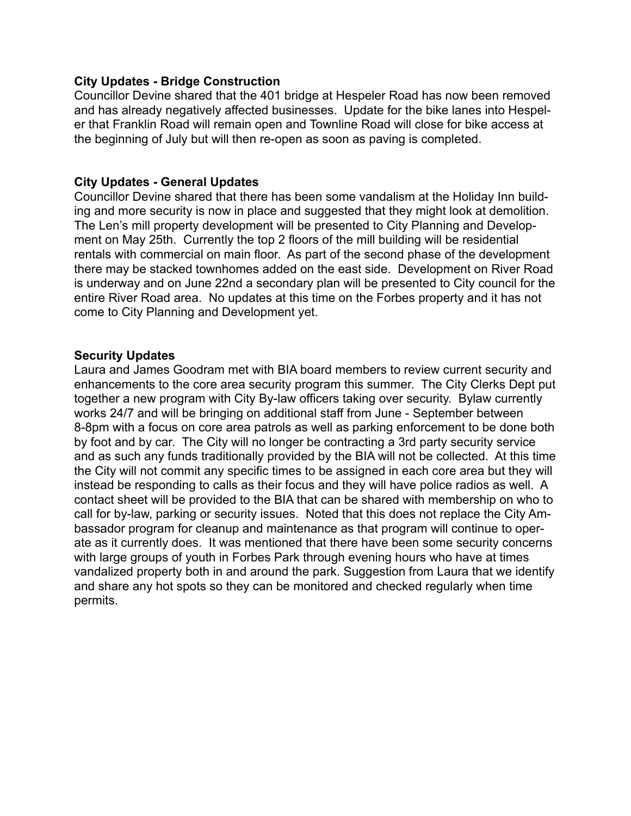#### **City Updates - Bridge Construction**

Councillor Devine shared that the 401 bridge at Hespeler Road has now been removed and has already negatively affected businesses. Update for the bike lanes into Hespeler that Franklin Road will remain open and Townline Road will close for bike access at the beginning of July but will then re-open as soon as paving is completed.

### **City Updates - General Updates**

Councillor Devine shared that there has been some vandalism at the Holiday Inn building and more security is now in place and suggested that they might look at demolition. The Len's mill property development will be presented to City Planning and Development on May 25th. Currently the top 2 floors of the mill building will be residential rentals with commercial on main floor. As part of the second phase of the development there may be stacked townhomes added on the east side. Development on River Road is underway and on June 22nd a secondary plan will be presented to City council for the entire River Road area. No updates at this time on the Forbes property and it has not come to City Planning and Development yet.

### **Security Updates**

Laura and James Goodram met with BIA board members to review current security and enhancements to the core area security program this summer. The City Clerks Dept put together a new program with City By-law officers taking over security. Bylaw currently works 24/7 and will be bringing on additional staff from June - September between 8-8pm with a focus on core area patrols as well as parking enforcement to be done both by foot and by car. The City will no longer be contracting a 3rd party security service and as such any funds traditionally provided by the BIA will not be collected. At this time the City will not commit any specific times to be assigned in each core area but they will instead be responding to calls as their focus and they will have police radios as well. A contact sheet will be provided to the BIA that can be shared with membership on who to call for by-law, parking or security issues. Noted that this does not replace the City Ambassador program for cleanup and maintenance as that program will continue to operate as it currently does. It was mentioned that there have been some security concerns with large groups of youth in Forbes Park through evening hours who have at times vandalized property both in and around the park. Suggestion from Laura that we identify and share any hot spots so they can be monitored and checked regularly when time permits.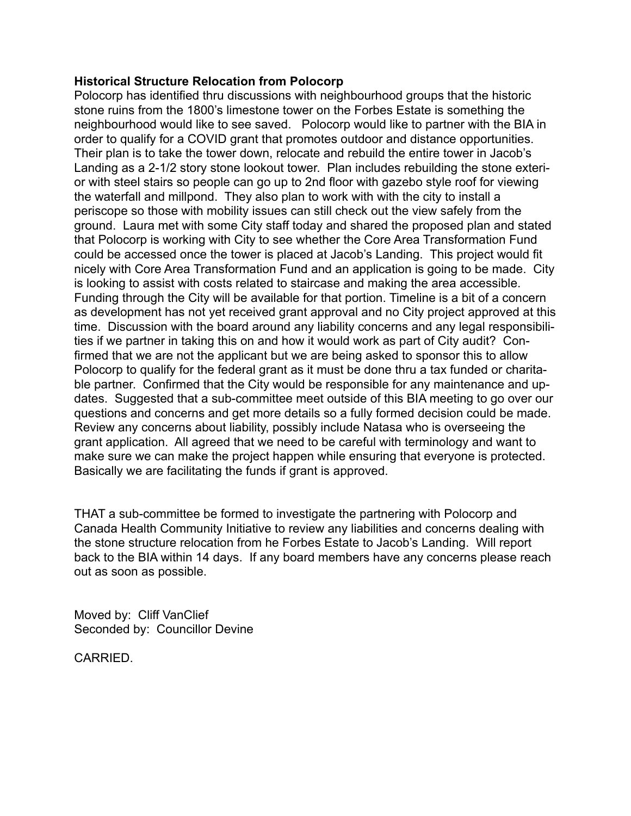#### **Historical Structure Relocation from Polocorp**

Polocorp has identified thru discussions with neighbourhood groups that the historic stone ruins from the 1800's limestone tower on the Forbes Estate is something the neighbourhood would like to see saved. Polocorp would like to partner with the BIA in order to qualify for a COVID grant that promotes outdoor and distance opportunities. Their plan is to take the tower down, relocate and rebuild the entire tower in Jacob's Landing as a 2-1/2 story stone lookout tower. Plan includes rebuilding the stone exterior with steel stairs so people can go up to 2nd floor with gazebo style roof for viewing the waterfall and millpond. They also plan to work with with the city to install a periscope so those with mobility issues can still check out the view safely from the ground. Laura met with some City staff today and shared the proposed plan and stated that Polocorp is working with City to see whether the Core Area Transformation Fund could be accessed once the tower is placed at Jacob's Landing. This project would fit nicely with Core Area Transformation Fund and an application is going to be made. City is looking to assist with costs related to staircase and making the area accessible. Funding through the City will be available for that portion. Timeline is a bit of a concern as development has not yet received grant approval and no City project approved at this time. Discussion with the board around any liability concerns and any legal responsibilities if we partner in taking this on and how it would work as part of City audit? Confirmed that we are not the applicant but we are being asked to sponsor this to allow Polocorp to qualify for the federal grant as it must be done thru a tax funded or charitable partner. Confirmed that the City would be responsible for any maintenance and updates. Suggested that a sub-committee meet outside of this BIA meeting to go over our questions and concerns and get more details so a fully formed decision could be made. Review any concerns about liability, possibly include Natasa who is overseeing the grant application. All agreed that we need to be careful with terminology and want to make sure we can make the project happen while ensuring that everyone is protected. Basically we are facilitating the funds if grant is approved.

THAT a sub-committee be formed to investigate the partnering with Polocorp and Canada Health Community Initiative to review any liabilities and concerns dealing with the stone structure relocation from he Forbes Estate to Jacob's Landing. Will report back to the BIA within 14 days. If any board members have any concerns please reach out as soon as possible.

Moved by: Cliff VanClief Seconded by: Councillor Devine

CARRIED.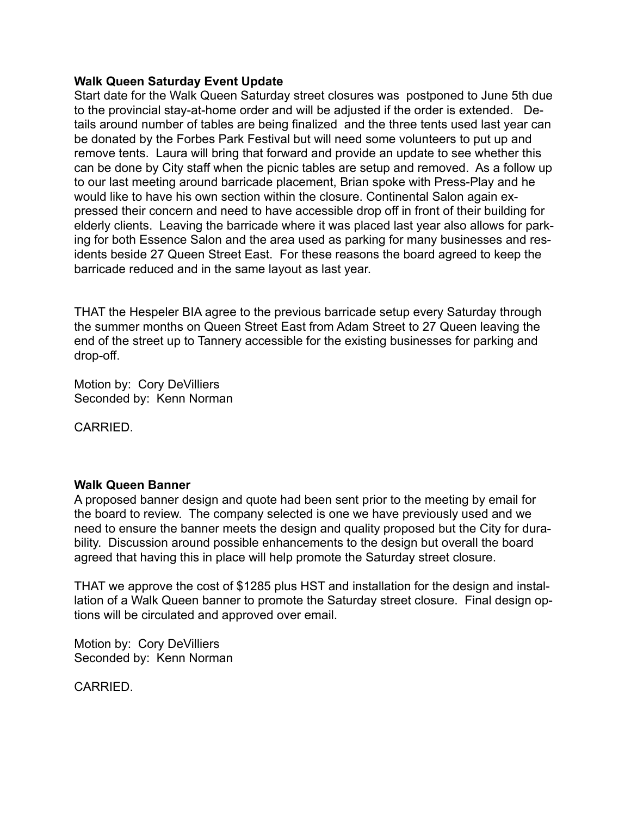#### **Walk Queen Saturday Event Update**

Start date for the Walk Queen Saturday street closures was postponed to June 5th due to the provincial stay-at-home order and will be adjusted if the order is extended. Details around number of tables are being finalized and the three tents used last year can be donated by the Forbes Park Festival but will need some volunteers to put up and remove tents. Laura will bring that forward and provide an update to see whether this can be done by City staff when the picnic tables are setup and removed. As a follow up to our last meeting around barricade placement, Brian spoke with Press-Play and he would like to have his own section within the closure. Continental Salon again expressed their concern and need to have accessible drop off in front of their building for elderly clients. Leaving the barricade where it was placed last year also allows for parking for both Essence Salon and the area used as parking for many businesses and residents beside 27 Queen Street East. For these reasons the board agreed to keep the barricade reduced and in the same layout as last year.

THAT the Hespeler BIA agree to the previous barricade setup every Saturday through the summer months on Queen Street East from Adam Street to 27 Queen leaving the end of the street up to Tannery accessible for the existing businesses for parking and drop-off.

Motion by: Cory DeVilliers Seconded by: Kenn Norman

CARRIED.

### **Walk Queen Banner**

A proposed banner design and quote had been sent prior to the meeting by email for the board to review. The company selected is one we have previously used and we need to ensure the banner meets the design and quality proposed but the City for durability. Discussion around possible enhancements to the design but overall the board agreed that having this in place will help promote the Saturday street closure.

THAT we approve the cost of \$1285 plus HST and installation for the design and installation of a Walk Queen banner to promote the Saturday street closure. Final design options will be circulated and approved over email.

Motion by: Cory DeVilliers Seconded by: Kenn Norman

CARRIED.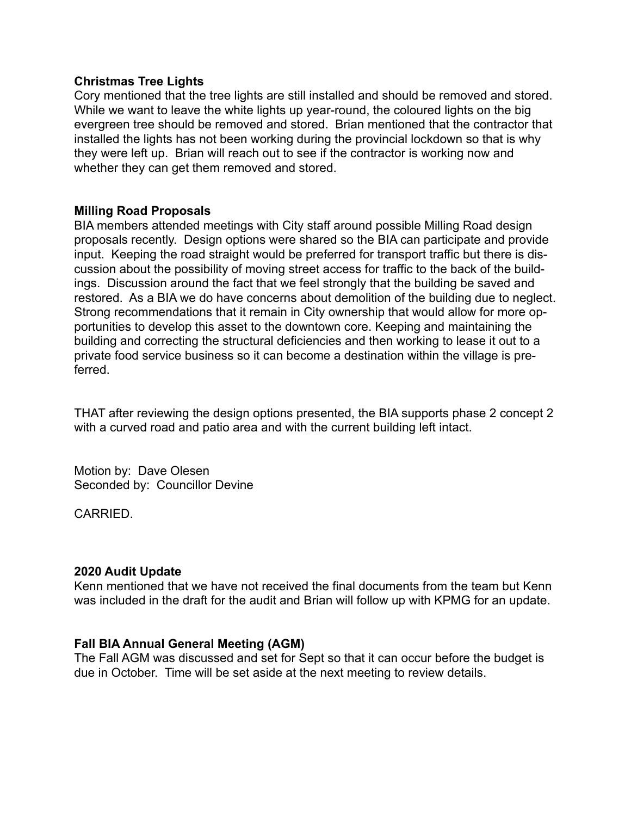#### **Christmas Tree Lights**

Cory mentioned that the tree lights are still installed and should be removed and stored. While we want to leave the white lights up year-round, the coloured lights on the big evergreen tree should be removed and stored. Brian mentioned that the contractor that installed the lights has not been working during the provincial lockdown so that is why they were left up. Brian will reach out to see if the contractor is working now and whether they can get them removed and stored.

### **Milling Road Proposals**

BIA members attended meetings with City staff around possible Milling Road design proposals recently. Design options were shared so the BIA can participate and provide input. Keeping the road straight would be preferred for transport traffic but there is discussion about the possibility of moving street access for traffic to the back of the buildings. Discussion around the fact that we feel strongly that the building be saved and restored. As a BIA we do have concerns about demolition of the building due to neglect. Strong recommendations that it remain in City ownership that would allow for more opportunities to develop this asset to the downtown core. Keeping and maintaining the building and correcting the structural deficiencies and then working to lease it out to a private food service business so it can become a destination within the village is preferred.

THAT after reviewing the design options presented, the BIA supports phase 2 concept 2 with a curved road and patio area and with the current building left intact.

Motion by: Dave Olesen Seconded by: Councillor Devine

CARRIED.

### **2020 Audit Update**

Kenn mentioned that we have not received the final documents from the team but Kenn was included in the draft for the audit and Brian will follow up with KPMG for an update.

### **Fall BIA Annual General Meeting (AGM)**

The Fall AGM was discussed and set for Sept so that it can occur before the budget is due in October. Time will be set aside at the next meeting to review details.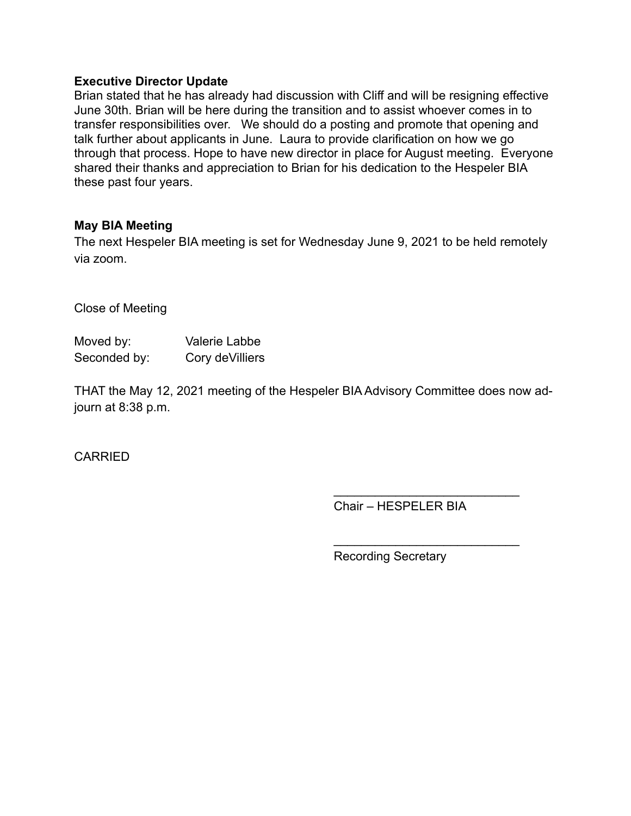#### **Executive Director Update**

Brian stated that he has already had discussion with Cliff and will be resigning effective June 30th. Brian will be here during the transition and to assist whoever comes in to transfer responsibilities over. We should do a posting and promote that opening and talk further about applicants in June. Laura to provide clarification on how we go through that process. Hope to have new director in place for August meeting. Everyone shared their thanks and appreciation to Brian for his dedication to the Hespeler BIA these past four years.

### **May BIA Meeting**

The next Hespeler BIA meeting is set for Wednesday June 9, 2021 to be held remotely via zoom.

Close of Meeting

| Moved by:    | Valerie Labbe    |
|--------------|------------------|
| Seconded by: | Cory de Villiers |

THAT the May 12, 2021 meeting of the Hespeler BIA Advisory Committee does now adjourn at 8:38 p.m.

CARRIED

Chair – HESPELER BIA

 $\mathcal{L}=\{1,2,3,4,5\}$ 

 $\mathcal{L}_\text{max}$  , where  $\mathcal{L}_\text{max}$  is the set of the set of the set of the set of the set of the set of the set of the set of the set of the set of the set of the set of the set of the set of the set of the set of the se

Recording Secretary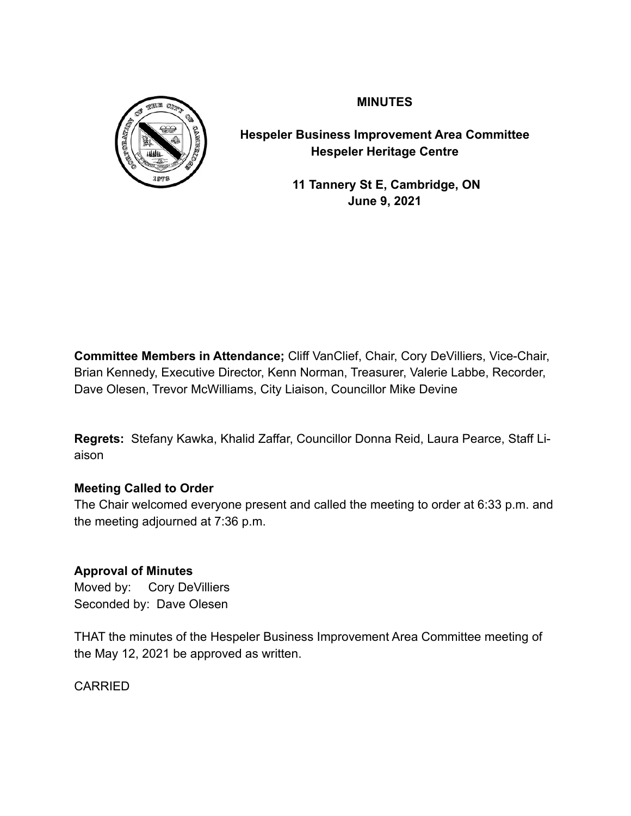

**MINUTES**

**Hespeler Business Improvement Area Committee Hespeler Heritage Centre**

> **11 Tannery St E, Cambridge, ON June 9, 2021**

**Committee Members in Attendance;** Cliff VanClief, Chair, Cory DeVilliers, Vice-Chair, Brian Kennedy, Executive Director, Kenn Norman, Treasurer, Valerie Labbe, Recorder, Dave Olesen, Trevor McWilliams, City Liaison, Councillor Mike Devine

**Regrets:** Stefany Kawka, Khalid Zaffar, Councillor Donna Reid, Laura Pearce, Staff Liaison

# **Meeting Called to Order**

The Chair welcomed everyone present and called the meeting to order at 6:33 p.m. and the meeting adjourned at 7:36 p.m.

## **Approval of Minutes**

Moved by: Cory DeVilliers Seconded by: Dave Olesen

THAT the minutes of the Hespeler Business Improvement Area Committee meeting of the May 12, 2021 be approved as written.

CARRIED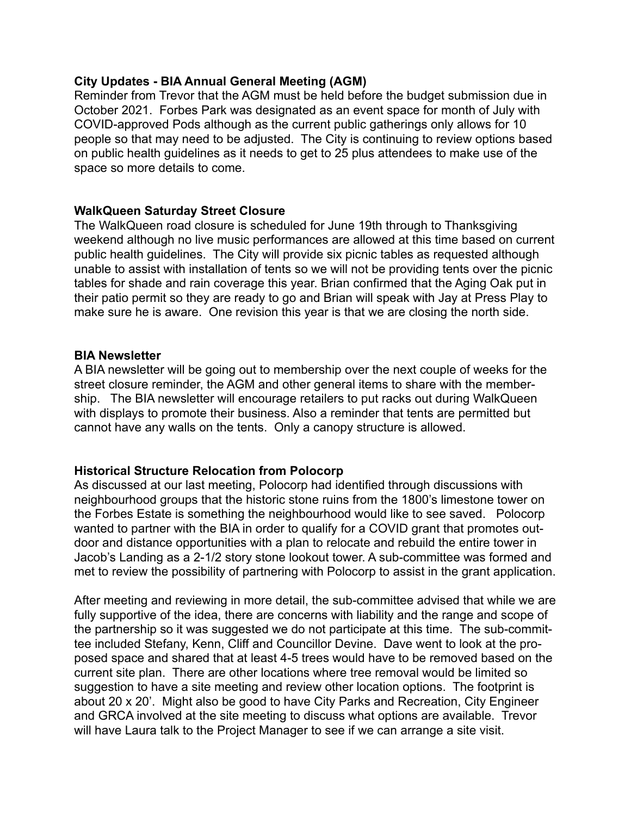#### **City Updates - BIA Annual General Meeting (AGM)**

Reminder from Trevor that the AGM must be held before the budget submission due in October 2021. Forbes Park was designated as an event space for month of July with COVID-approved Pods although as the current public gatherings only allows for 10 people so that may need to be adjusted. The City is continuing to review options based on public health guidelines as it needs to get to 25 plus attendees to make use of the space so more details to come.

### **WalkQueen Saturday Street Closure**

The WalkQueen road closure is scheduled for June 19th through to Thanksgiving weekend although no live music performances are allowed at this time based on current public health guidelines. The City will provide six picnic tables as requested although unable to assist with installation of tents so we will not be providing tents over the picnic tables for shade and rain coverage this year. Brian confirmed that the Aging Oak put in their patio permit so they are ready to go and Brian will speak with Jay at Press Play to make sure he is aware. One revision this year is that we are closing the north side.

#### **BIA Newsletter**

A BIA newsletter will be going out to membership over the next couple of weeks for the street closure reminder, the AGM and other general items to share with the membership. The BIA newsletter will encourage retailers to put racks out during WalkQueen with displays to promote their business. Also a reminder that tents are permitted but cannot have any walls on the tents. Only a canopy structure is allowed.

### **Historical Structure Relocation from Polocorp**

As discussed at our last meeting, Polocorp had identified through discussions with neighbourhood groups that the historic stone ruins from the 1800's limestone tower on the Forbes Estate is something the neighbourhood would like to see saved. Polocorp wanted to partner with the BIA in order to qualify for a COVID grant that promotes outdoor and distance opportunities with a plan to relocate and rebuild the entire tower in Jacob's Landing as a 2-1/2 story stone lookout tower. A sub-committee was formed and met to review the possibility of partnering with Polocorp to assist in the grant application.

After meeting and reviewing in more detail, the sub-committee advised that while we are fully supportive of the idea, there are concerns with liability and the range and scope of the partnership so it was suggested we do not participate at this time. The sub-committee included Stefany, Kenn, Cliff and Councillor Devine. Dave went to look at the proposed space and shared that at least 4-5 trees would have to be removed based on the current site plan. There are other locations where tree removal would be limited so suggestion to have a site meeting and review other location options. The footprint is about 20 x 20'. Might also be good to have City Parks and Recreation, City Engineer and GRCA involved at the site meeting to discuss what options are available. Trevor will have Laura talk to the Project Manager to see if we can arrange a site visit.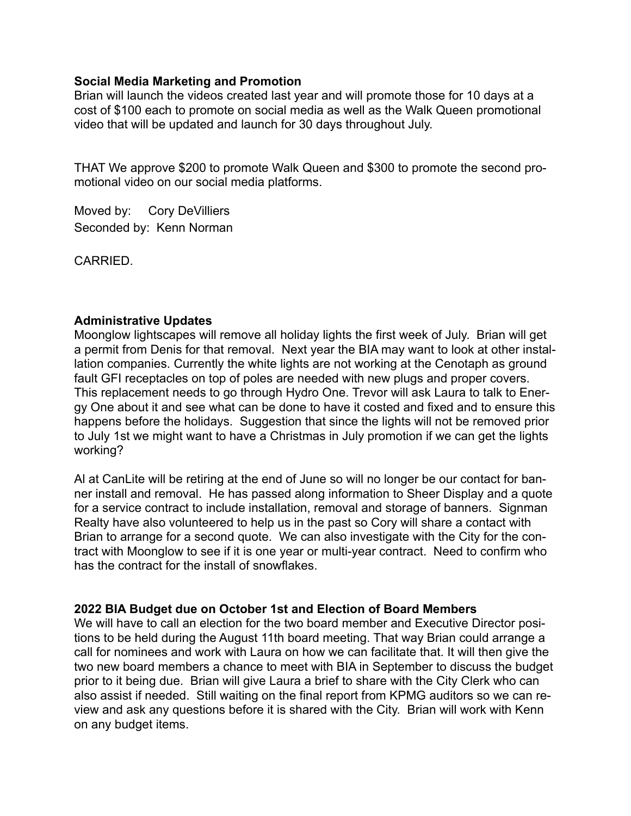#### **Social Media Marketing and Promotion**

Brian will launch the videos created last year and will promote those for 10 days at a cost of \$100 each to promote on social media as well as the Walk Queen promotional video that will be updated and launch for 30 days throughout July.

THAT We approve \$200 to promote Walk Queen and \$300 to promote the second promotional video on our social media platforms.

Moved by: Cory DeVilliers Seconded by: Kenn Norman

CARRIED.

### **Administrative Updates**

Moonglow lightscapes will remove all holiday lights the first week of July. Brian will get a permit from Denis for that removal. Next year the BIA may want to look at other installation companies. Currently the white lights are not working at the Cenotaph as ground fault GFI receptacles on top of poles are needed with new plugs and proper covers. This replacement needs to go through Hydro One. Trevor will ask Laura to talk to Energy One about it and see what can be done to have it costed and fixed and to ensure this happens before the holidays. Suggestion that since the lights will not be removed prior to July 1st we might want to have a Christmas in July promotion if we can get the lights working?

Al at CanLite will be retiring at the end of June so will no longer be our contact for banner install and removal. He has passed along information to Sheer Display and a quote for a service contract to include installation, removal and storage of banners. Signman Realty have also volunteered to help us in the past so Cory will share a contact with Brian to arrange for a second quote. We can also investigate with the City for the contract with Moonglow to see if it is one year or multi-year contract. Need to confirm who has the contract for the install of snowflakes.

#### **2022 BIA Budget due on October 1st and Election of Board Members**

We will have to call an election for the two board member and Executive Director positions to be held during the August 11th board meeting. That way Brian could arrange a call for nominees and work with Laura on how we can facilitate that. It will then give the two new board members a chance to meet with BIA in September to discuss the budget prior to it being due. Brian will give Laura a brief to share with the City Clerk who can also assist if needed. Still waiting on the final report from KPMG auditors so we can review and ask any questions before it is shared with the City. Brian will work with Kenn on any budget items.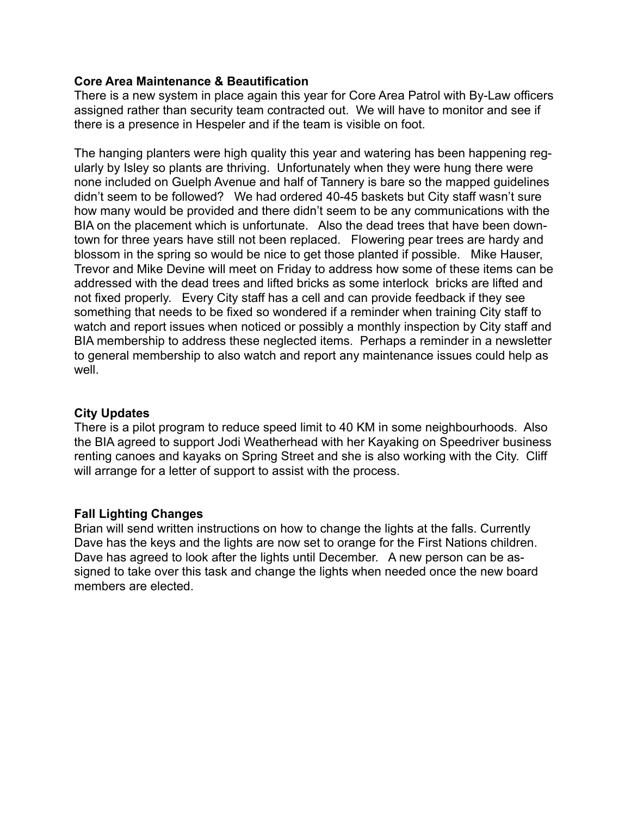### **Core Area Maintenance & Beautification**

There is a new system in place again this year for Core Area Patrol with By-Law officers assigned rather than security team contracted out. We will have to monitor and see if there is a presence in Hespeler and if the team is visible on foot.

The hanging planters were high quality this year and watering has been happening regularly by Isley so plants are thriving. Unfortunately when they were hung there were none included on Guelph Avenue and half of Tannery is bare so the mapped guidelines didn't seem to be followed? We had ordered 40-45 baskets but City staff wasn't sure how many would be provided and there didn't seem to be any communications with the BIA on the placement which is unfortunate. Also the dead trees that have been downtown for three years have still not been replaced. Flowering pear trees are hardy and blossom in the spring so would be nice to get those planted if possible. Mike Hauser, Trevor and Mike Devine will meet on Friday to address how some of these items can be addressed with the dead trees and lifted bricks as some interlock bricks are lifted and not fixed properly. Every City staff has a cell and can provide feedback if they see something that needs to be fixed so wondered if a reminder when training City staff to watch and report issues when noticed or possibly a monthly inspection by City staff and BIA membership to address these neglected items. Perhaps a reminder in a newsletter to general membership to also watch and report any maintenance issues could help as well.

## **City Updates**

There is a pilot program to reduce speed limit to 40 KM in some neighbourhoods. Also the BIA agreed to support Jodi Weatherhead with her Kayaking on Speedriver business renting canoes and kayaks on Spring Street and she is also working with the City. Cliff will arrange for a letter of support to assist with the process.

## **Fall Lighting Changes**

Brian will send written instructions on how to change the lights at the falls. Currently Dave has the keys and the lights are now set to orange for the First Nations children. Dave has agreed to look after the lights until December. A new person can be assigned to take over this task and change the lights when needed once the new board members are elected.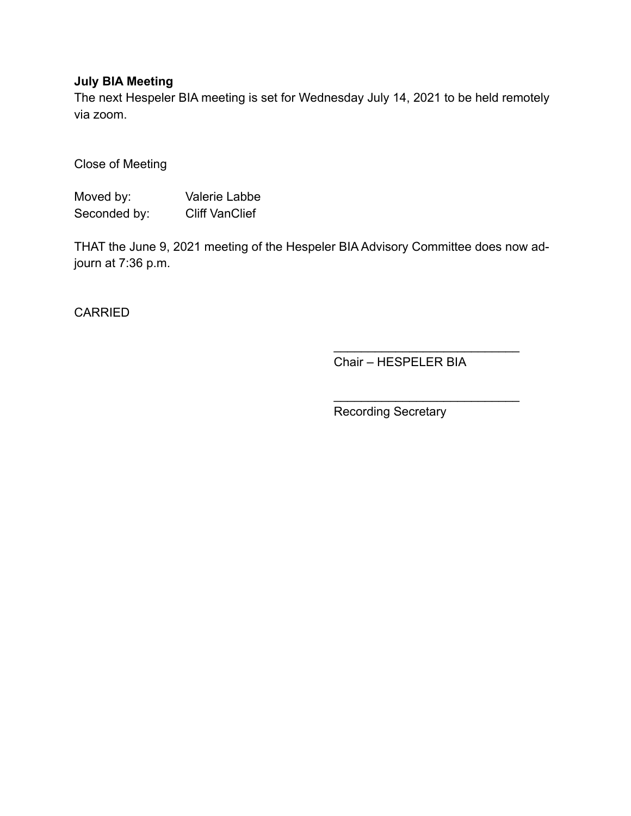## **July BIA Meeting**

The next Hespeler BIA meeting is set for Wednesday July 14, 2021 to be held remotely via zoom.

Close of Meeting

Moved by: Valerie Labbe Seconded by: Cliff VanClief

THAT the June 9, 2021 meeting of the Hespeler BIA Advisory Committee does now adjourn at 7:36 p.m.

**CARRIED** 

Chair – HESPELER BIA

 $\mathcal{L}_\text{max}$  , where  $\mathcal{L}_\text{max}$  is the set of the set of the set of the set of the set of the set of the set of the set of the set of the set of the set of the set of the set of the set of the set of the set of the se

 $\mathcal{L}=\{1,2,3,4,5\}$ 

Recording Secretary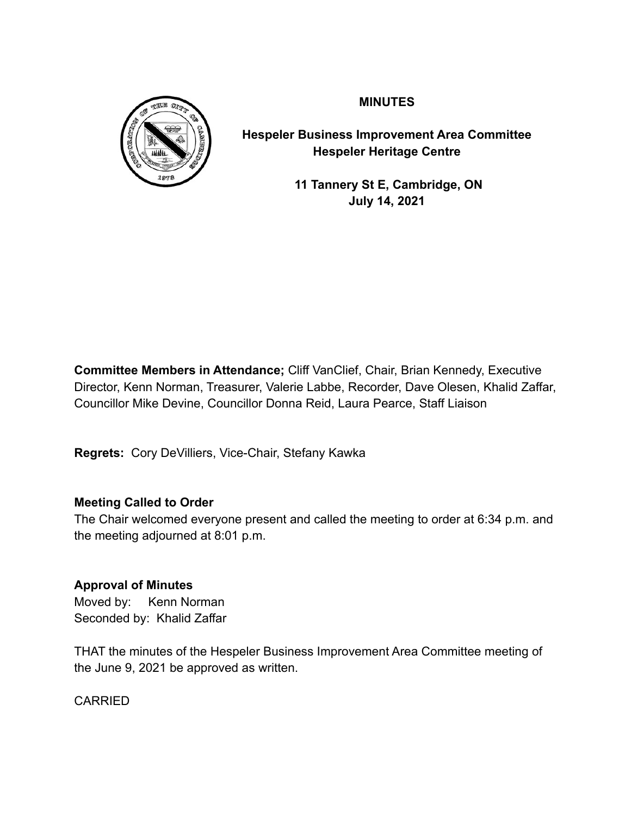

**MINUTES**

**Hespeler Business Improvement Area Committee Hespeler Heritage Centre**

> **11 Tannery St E, Cambridge, ON July 14, 2021**

**Committee Members in Attendance;** Cliff VanClief, Chair, Brian Kennedy, Executive Director, Kenn Norman, Treasurer, Valerie Labbe, Recorder, Dave Olesen, Khalid Zaffar, Councillor Mike Devine, Councillor Donna Reid, Laura Pearce, Staff Liaison

**Regrets:** Cory DeVilliers, Vice-Chair, Stefany Kawka

## **Meeting Called to Order**

The Chair welcomed everyone present and called the meeting to order at 6:34 p.m. and the meeting adjourned at 8:01 p.m.

## **Approval of Minutes**

Moved by: Kenn Norman Seconded by: Khalid Zaffar

THAT the minutes of the Hespeler Business Improvement Area Committee meeting of the June 9, 2021 be approved as written.

CARRIED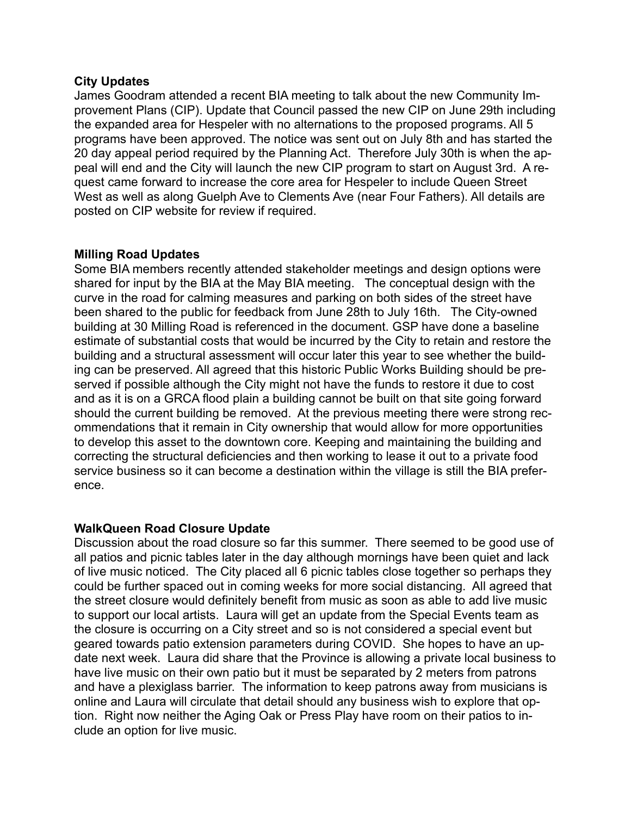#### **City Updates**

James Goodram attended a recent BIA meeting to talk about the new Community Improvement Plans (CIP). Update that Council passed the new CIP on June 29th including the expanded area for Hespeler with no alternations to the proposed programs. All 5 programs have been approved. The notice was sent out on July 8th and has started the 20 day appeal period required by the Planning Act. Therefore July 30th is when the appeal will end and the City will launch the new CIP program to start on August 3rd. A request came forward to increase the core area for Hespeler to include Queen Street West as well as along Guelph Ave to Clements Ave (near Four Fathers). All details are posted on CIP website for review if required.

### **Milling Road Updates**

Some BIA members recently attended stakeholder meetings and design options were shared for input by the BIA at the May BIA meeting. The conceptual design with the curve in the road for calming measures and parking on both sides of the street have been shared to the public for feedback from June 28th to July 16th. The City-owned building at 30 Milling Road is referenced in the document. GSP have done a baseline estimate of substantial costs that would be incurred by the City to retain and restore the building and a structural assessment will occur later this year to see whether the building can be preserved. All agreed that this historic Public Works Building should be preserved if possible although the City might not have the funds to restore it due to cost and as it is on a GRCA flood plain a building cannot be built on that site going forward should the current building be removed. At the previous meeting there were strong recommendations that it remain in City ownership that would allow for more opportunities to develop this asset to the downtown core. Keeping and maintaining the building and correcting the structural deficiencies and then working to lease it out to a private food service business so it can become a destination within the village is still the BIA preference.

#### **WalkQueen Road Closure Update**

Discussion about the road closure so far this summer. There seemed to be good use of all patios and picnic tables later in the day although mornings have been quiet and lack of live music noticed. The City placed all 6 picnic tables close together so perhaps they could be further spaced out in coming weeks for more social distancing. All agreed that the street closure would definitely benefit from music as soon as able to add live music to support our local artists. Laura will get an update from the Special Events team as the closure is occurring on a City street and so is not considered a special event but geared towards patio extension parameters during COVID. She hopes to have an update next week. Laura did share that the Province is allowing a private local business to have live music on their own patio but it must be separated by 2 meters from patrons and have a plexiglass barrier. The information to keep patrons away from musicians is online and Laura will circulate that detail should any business wish to explore that option. Right now neither the Aging Oak or Press Play have room on their patios to include an option for live music.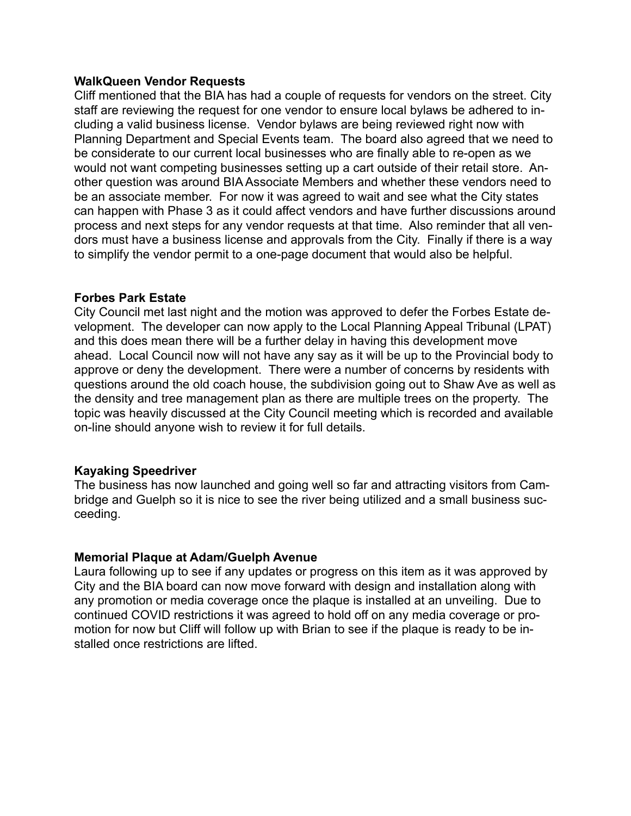#### **WalkQueen Vendor Requests**

Cliff mentioned that the BIA has had a couple of requests for vendors on the street. City staff are reviewing the request for one vendor to ensure local bylaws be adhered to including a valid business license. Vendor bylaws are being reviewed right now with Planning Department and Special Events team. The board also agreed that we need to be considerate to our current local businesses who are finally able to re-open as we would not want competing businesses setting up a cart outside of their retail store. Another question was around BIA Associate Members and whether these vendors need to be an associate member. For now it was agreed to wait and see what the City states can happen with Phase 3 as it could affect vendors and have further discussions around process and next steps for any vendor requests at that time. Also reminder that all vendors must have a business license and approvals from the City. Finally if there is a way to simplify the vendor permit to a one-page document that would also be helpful.

#### **Forbes Park Estate**

City Council met last night and the motion was approved to defer the Forbes Estate development. The developer can now apply to the Local Planning Appeal Tribunal (LPAT) and this does mean there will be a further delay in having this development move ahead. Local Council now will not have any say as it will be up to the Provincial body to approve or deny the development. There were a number of concerns by residents with questions around the old coach house, the subdivision going out to Shaw Ave as well as the density and tree management plan as there are multiple trees on the property. The topic was heavily discussed at the City Council meeting which is recorded and available on-line should anyone wish to review it for full details.

### **Kayaking Speedriver**

The business has now launched and going well so far and attracting visitors from Cambridge and Guelph so it is nice to see the river being utilized and a small business succeeding.

### **Memorial Plaque at Adam/Guelph Avenue**

Laura following up to see if any updates or progress on this item as it was approved by City and the BIA board can now move forward with design and installation along with any promotion or media coverage once the plaque is installed at an unveiling. Due to continued COVID restrictions it was agreed to hold off on any media coverage or promotion for now but Cliff will follow up with Brian to see if the plaque is ready to be installed once restrictions are lifted.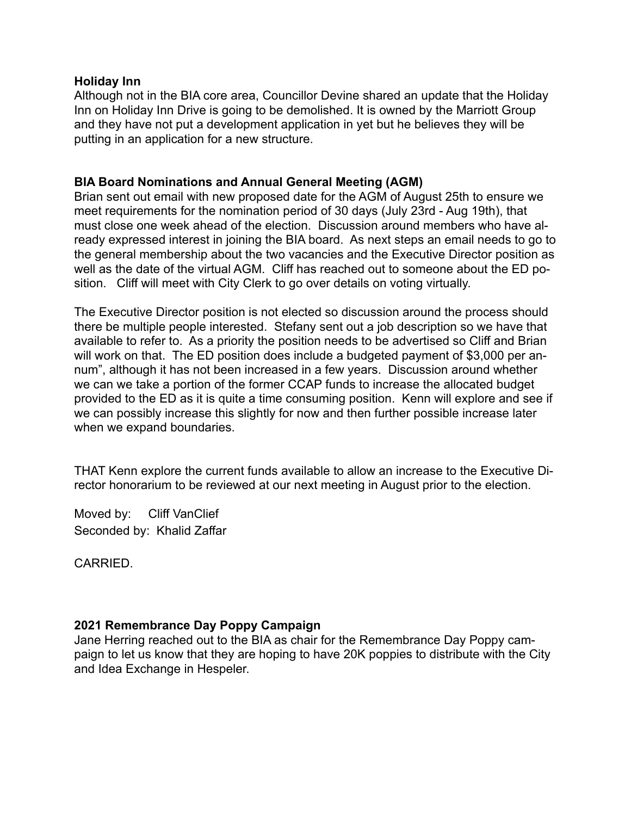#### **Holiday Inn**

Although not in the BIA core area, Councillor Devine shared an update that the Holiday Inn on Holiday Inn Drive is going to be demolished. It is owned by the Marriott Group and they have not put a development application in yet but he believes they will be putting in an application for a new structure.

## **BIA Board Nominations and Annual General Meeting (AGM)**

Brian sent out email with new proposed date for the AGM of August 25th to ensure we meet requirements for the nomination period of 30 days (July 23rd - Aug 19th), that must close one week ahead of the election. Discussion around members who have already expressed interest in joining the BIA board. As next steps an email needs to go to the general membership about the two vacancies and the Executive Director position as well as the date of the virtual AGM. Cliff has reached out to someone about the ED position. Cliff will meet with City Clerk to go over details on voting virtually.

The Executive Director position is not elected so discussion around the process should there be multiple people interested. Stefany sent out a job description so we have that available to refer to. As a priority the position needs to be advertised so Cliff and Brian will work on that. The ED position does include a budgeted payment of \$3,000 per annum", although it has not been increased in a few years. Discussion around whether we can we take a portion of the former CCAP funds to increase the allocated budget provided to the ED as it is quite a time consuming position. Kenn will explore and see if we can possibly increase this slightly for now and then further possible increase later when we expand boundaries.

THAT Kenn explore the current funds available to allow an increase to the Executive Director honorarium to be reviewed at our next meeting in August prior to the election.

Moved by: Cliff VanClief Seconded by: Khalid Zaffar

CARRIED.

### **2021 Remembrance Day Poppy Campaign**

Jane Herring reached out to the BIA as chair for the Remembrance Day Poppy campaign to let us know that they are hoping to have 20K poppies to distribute with the City and Idea Exchange in Hespeler.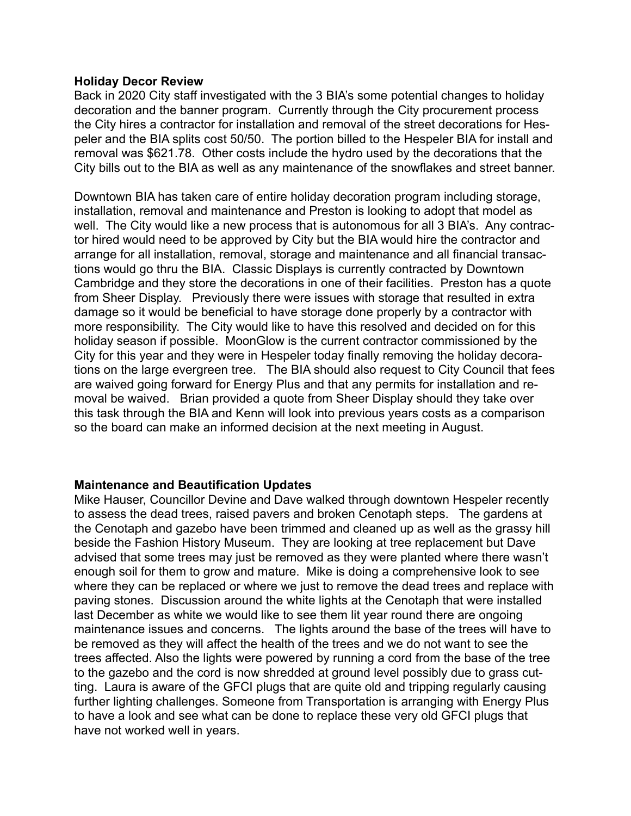#### **Holiday Decor Review**

Back in 2020 City staff investigated with the 3 BIA's some potential changes to holiday decoration and the banner program. Currently through the City procurement process the City hires a contractor for installation and removal of the street decorations for Hespeler and the BIA splits cost 50/50. The portion billed to the Hespeler BIA for install and removal was \$621.78. Other costs include the hydro used by the decorations that the City bills out to the BIA as well as any maintenance of the snowflakes and street banner.

Downtown BIA has taken care of entire holiday decoration program including storage, installation, removal and maintenance and Preston is looking to adopt that model as well. The City would like a new process that is autonomous for all 3 BIA's. Any contractor hired would need to be approved by City but the BIA would hire the contractor and arrange for all installation, removal, storage and maintenance and all financial transactions would go thru the BIA. Classic Displays is currently contracted by Downtown Cambridge and they store the decorations in one of their facilities. Preston has a quote from Sheer Display. Previously there were issues with storage that resulted in extra damage so it would be beneficial to have storage done properly by a contractor with more responsibility. The City would like to have this resolved and decided on for this holiday season if possible. MoonGlow is the current contractor commissioned by the City for this year and they were in Hespeler today finally removing the holiday decorations on the large evergreen tree. The BIA should also request to City Council that fees are waived going forward for Energy Plus and that any permits for installation and removal be waived. Brian provided a quote from Sheer Display should they take over this task through the BIA and Kenn will look into previous years costs as a comparison so the board can make an informed decision at the next meeting in August.

### **Maintenance and Beautification Updates**

Mike Hauser, Councillor Devine and Dave walked through downtown Hespeler recently to assess the dead trees, raised pavers and broken Cenotaph steps. The gardens at the Cenotaph and gazebo have been trimmed and cleaned up as well as the grassy hill beside the Fashion History Museum. They are looking at tree replacement but Dave advised that some trees may just be removed as they were planted where there wasn't enough soil for them to grow and mature. Mike is doing a comprehensive look to see where they can be replaced or where we just to remove the dead trees and replace with paving stones. Discussion around the white lights at the Cenotaph that were installed last December as white we would like to see them lit year round there are ongoing maintenance issues and concerns. The lights around the base of the trees will have to be removed as they will affect the health of the trees and we do not want to see the trees affected. Also the lights were powered by running a cord from the base of the tree to the gazebo and the cord is now shredded at ground level possibly due to grass cutting. Laura is aware of the GFCI plugs that are quite old and tripping regularly causing further lighting challenges. Someone from Transportation is arranging with Energy Plus to have a look and see what can be done to replace these very old GFCI plugs that have not worked well in years.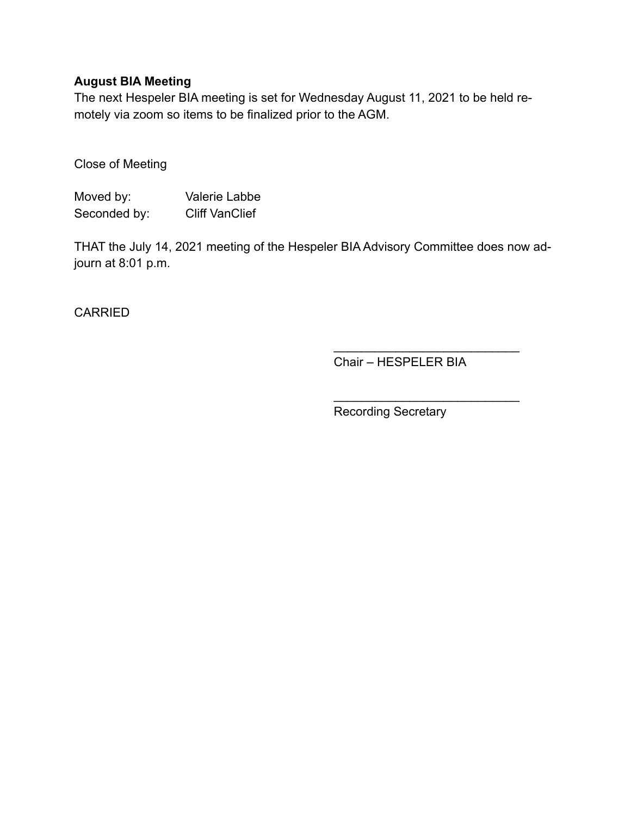## **August BIA Meeting**

The next Hespeler BIA meeting is set for Wednesday August 11, 2021 to be held remotely via zoom so items to be finalized prior to the AGM.

Close of Meeting

| Moved by:    | Valerie Labbe         |
|--------------|-----------------------|
| Seconded by: | <b>Cliff VanClief</b> |

THAT the July 14, 2021 meeting of the Hespeler BIA Advisory Committee does now adjourn at 8:01 p.m.

**CARRIED** 

Chair – HESPELER BIA

 $\mathcal{L}_\text{max}$  , where  $\mathcal{L}_\text{max}$  is the set of the set of the set of the set of the set of the set of the set of the set of the set of the set of the set of the set of the set of the set of the set of the set of the se

 $\mathcal{L}=\{1,2,3,4,5\}$ 

Recording Secretary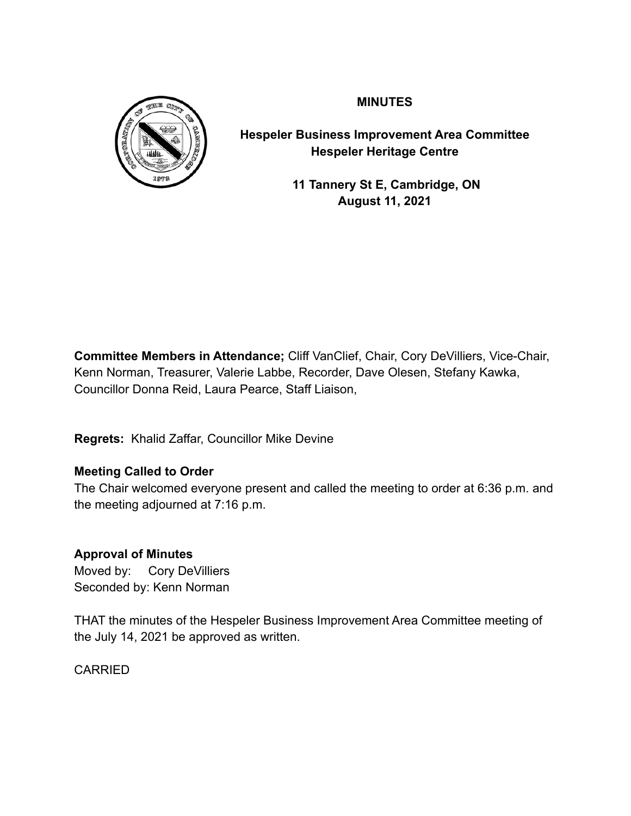

**MINUTES**

**Hespeler Business Improvement Area Committee Hespeler Heritage Centre**

> **11 Tannery St E, Cambridge, ON August 11, 2021**

**Committee Members in Attendance;** Cliff VanClief, Chair, Cory DeVilliers, Vice-Chair, Kenn Norman, Treasurer, Valerie Labbe, Recorder, Dave Olesen, Stefany Kawka, Councillor Donna Reid, Laura Pearce, Staff Liaison,

**Regrets:** Khalid Zaffar, Councillor Mike Devine

# **Meeting Called to Order**

The Chair welcomed everyone present and called the meeting to order at 6:36 p.m. and the meeting adjourned at 7:16 p.m.

## **Approval of Minutes**

Moved by: Cory DeVilliers Seconded by: Kenn Norman

THAT the minutes of the Hespeler Business Improvement Area Committee meeting of the July 14, 2021 be approved as written.

CARRIED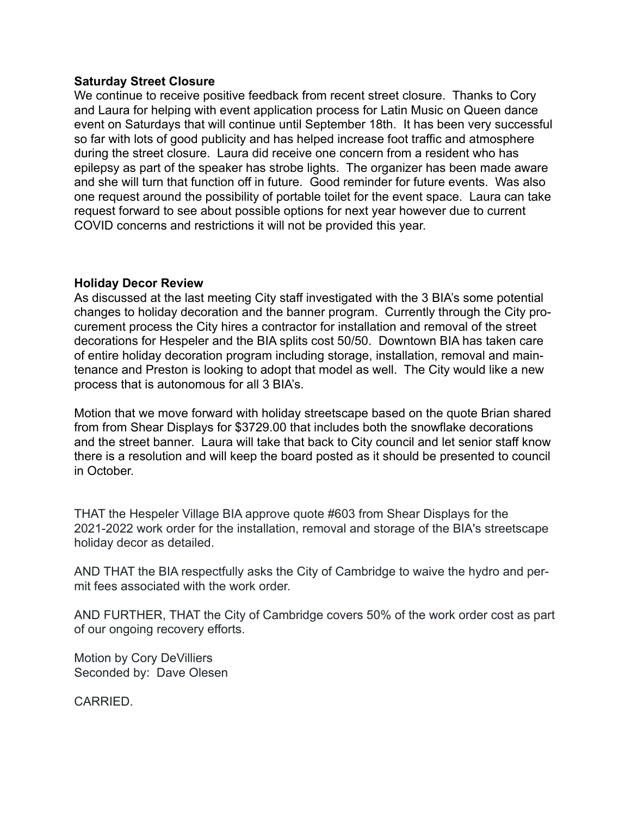#### **Saturday Street Closure**

We continue to receive positive feedback from recent street closure. Thanks to Cory and Laura for helping with event application process for Latin Music on Queen dance event on Saturdays that will continue until September 18th. It has been very successful so far with lots of good publicity and has helped increase foot traffic and atmosphere during the street closure. Laura did receive one concern from a resident who has epilepsy as part of the speaker has strobe lights. The organizer has been made aware and she will turn that function off in future. Good reminder for future events. Was also one request around the possibility of portable toilet for the event space. Laura can take request forward to see about possible options for next year however due to current COVID concerns and restrictions it will not be provided this year.

### **Holiday Decor Review**

As discussed at the last meeting City staff investigated with the 3 BIA's some potential changes to holiday decoration and the banner program. Currently through the City procurement process the City hires a contractor for installation and removal of the street decorations for Hespeler and the BIA splits cost 50/50. Downtown BIA has taken care of entire holiday decoration program including storage, installation, removal and maintenance and Preston is looking to adopt that model as well. The City would like a new process that is autonomous for all 3 BIA's.

Motion that we move forward with holiday streetscape based on the quote Brian shared from from Shear Displays for \$3729.00 that includes both the snowflake decorations and the street banner. Laura will take that back to City council and let senior staff know there is a resolution and will keep the board posted as it should be presented to council in October.

THAT the Hespeler Village BIA approve quote #603 from Shear Displays for the 2021-2022 work order for the installation, removal and storage of the BIA's streetscape holiday decor as detailed.

AND THAT the BIA respectfully asks the City of Cambridge to waive the hydro and permit fees associated with the work order.

AND FURTHER, THAT the City of Cambridge covers 50% of the work order cost as part of our ongoing recovery efforts.

Motion by Cory DeVilliers Seconded by: Dave Olesen

**CARRIED.**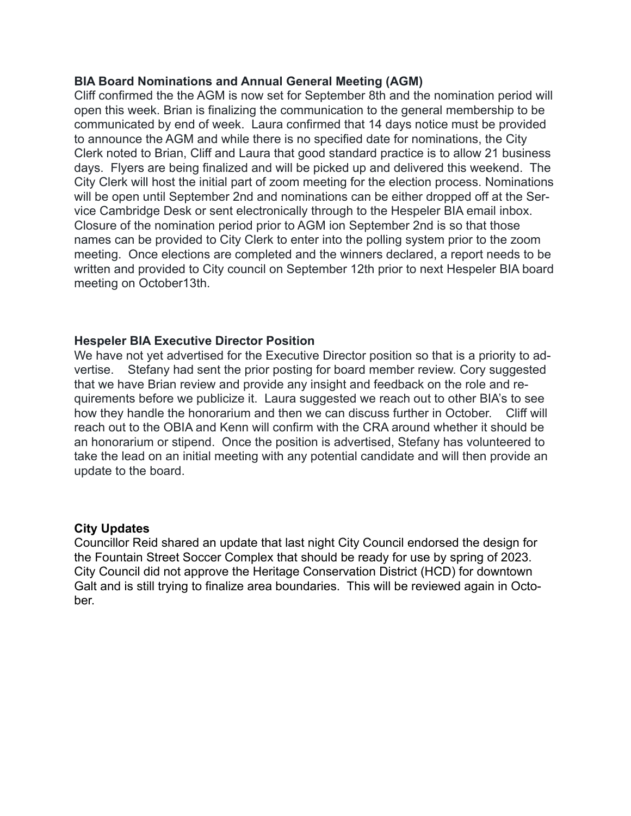#### **BIA Board Nominations and Annual General Meeting (AGM)**

Cliff confirmed the the AGM is now set for September 8th and the nomination period will open this week. Brian is finalizing the communication to the general membership to be communicated by end of week. Laura confirmed that 14 days notice must be provided to announce the AGM and while there is no specified date for nominations, the City Clerk noted to Brian, Cliff and Laura that good standard practice is to allow 21 business days. Flyers are being finalized and will be picked up and delivered this weekend. The City Clerk will host the initial part of zoom meeting for the election process. Nominations will be open until September 2nd and nominations can be either dropped off at the Service Cambridge Desk or sent electronically through to the Hespeler BIA email inbox. Closure of the nomination period prior to AGM ion September 2nd is so that those names can be provided to City Clerk to enter into the polling system prior to the zoom meeting. Once elections are completed and the winners declared, a report needs to be written and provided to City council on September 12th prior to next Hespeler BIA board meeting on October13th.

#### **Hespeler BIA Executive Director Position**

We have not yet advertised for the Executive Director position so that is a priority to advertise. Stefany had sent the prior posting for board member review. Cory suggested that we have Brian review and provide any insight and feedback on the role and requirements before we publicize it. Laura suggested we reach out to other BIA's to see how they handle the honorarium and then we can discuss further in October. Cliff will reach out to the OBIA and Kenn will confirm with the CRA around whether it should be an honorarium or stipend. Once the position is advertised, Stefany has volunteered to take the lead on an initial meeting with any potential candidate and will then provide an update to the board.

#### **City Updates**

Councillor Reid shared an update that last night City Council endorsed the design for the Fountain Street Soccer Complex that should be ready for use by spring of 2023. City Council did not approve the Heritage Conservation District (HCD) for downtown Galt and is still trying to finalize area boundaries. This will be reviewed again in October.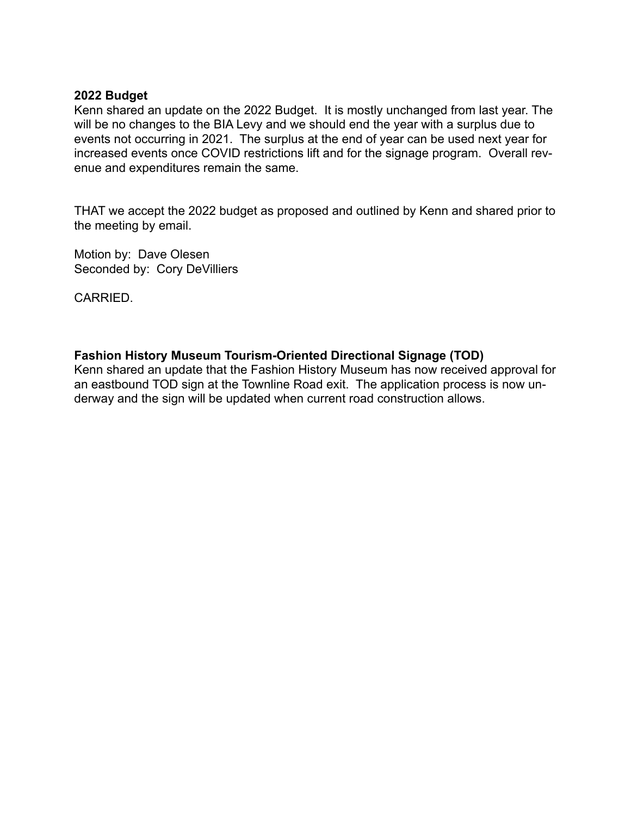#### **2022 Budget**

Kenn shared an update on the 2022 Budget. It is mostly unchanged from last year. The will be no changes to the BIA Levy and we should end the year with a surplus due to events not occurring in 2021. The surplus at the end of year can be used next year for increased events once COVID restrictions lift and for the signage program. Overall revenue and expenditures remain the same.

THAT we accept the 2022 budget as proposed and outlined by Kenn and shared prior to the meeting by email.

Motion by: Dave Olesen Seconded by: Cory DeVilliers

CARRIED.

### **Fashion History Museum Tourism-Oriented Directional Signage (TOD)**

Kenn shared an update that the Fashion History Museum has now received approval for an eastbound TOD sign at the Townline Road exit. The application process is now underway and the sign will be updated when current road construction allows.